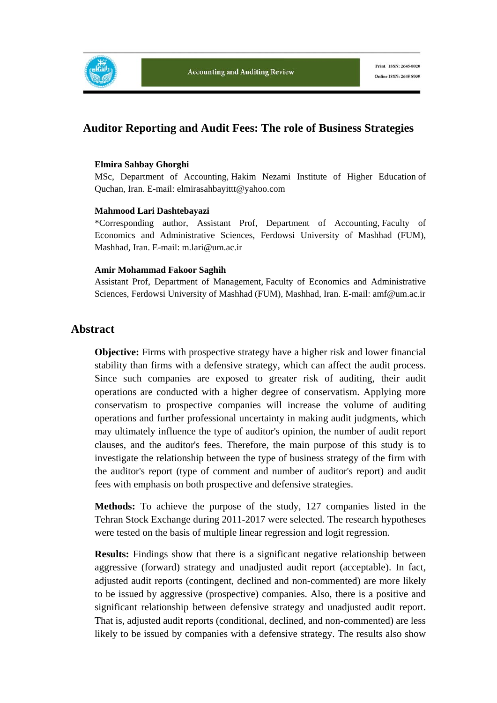

## **Auditor Reporting and Audit Fees: The role of Business Strategies**

#### **Elmira Sahbay Ghorghi**

MSc, Department of Accounting, Hakim Nezami Institute of Higher Education of Quchan, Iran. E-mail: elmirasahbayittt@yahoo.com

#### **Mahmood Lari Dashtebayazi**

\*Corresponding author, Assistant Prof, Department of Accounting, Faculty of Economics and Administrative Sciences, Ferdowsi University of Mashhad (FUM), Mashhad, Iran. E-mail: m.lari@um.ac.ir

#### **Amir Mohammad Fakoor Saghih**

Assistant Prof, Department of Management, Faculty of Economics and Administrative Sciences, Ferdowsi University of Mashhad (FUM), Mashhad, Iran. E-mail: amf@um.ac.ir

## **Abstract**

**Objective:** Firms with prospective strategy have a higher risk and lower financial stability than firms with a defensive strategy, which can affect the audit process. Since such companies are exposed to greater risk of auditing, their audit operations are conducted with a higher degree of conservatism. Applying more conservatism to prospective companies will increase the volume of auditing operations and further professional uncertainty in making audit judgments, which may ultimately influence the type of auditor's opinion, the number of audit report clauses, and the auditor's fees. Therefore, the main purpose of this study is to investigate the relationship between the type of business strategy of the firm with the auditor's report (type of comment and number of auditor's report) and audit fees with emphasis on both prospective and defensive strategies.

**Methods:** To achieve the purpose of the study, 127 companies listed in the Tehran Stock Exchange during 2011-2017 were selected. The research hypotheses were tested on the basis of multiple linear regression and logit regression.

**Results:** Findings show that there is a significant negative relationship between aggressive (forward) strategy and unadjusted audit report (acceptable). In fact, adjusted audit reports (contingent, declined and non-commented) are more likely to be issued by aggressive (prospective) companies. Also, there is a positive and significant relationship between defensive strategy and unadjusted audit report. That is, adjusted audit reports (conditional, declined, and non-commented) are less likely to be issued by companies with a defensive strategy. The results also show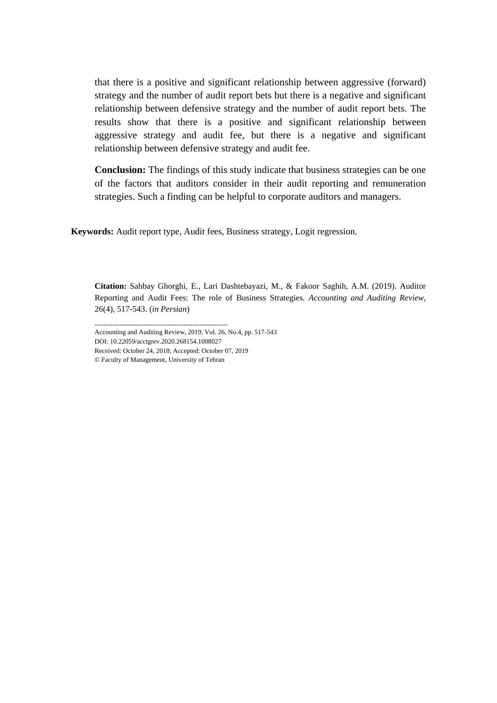that there is a positive and significant relationship between aggressive (forward) strategy and the number of audit report bets but there is a negative and significant relationship between defensive strategy and the number of audit report bets. The results show that there is a positive and significant relationship between aggressive strategy and audit fee, but there is a negative and significant relationship between defensive strategy and audit fee.

**Conclusion:** The findings of this study indicate that business strategies can be one of the factors that auditors consider in their audit reporting and remuneration strategies. Such a finding can be helpful to corporate auditors and managers.

**Keywords:** Audit report type, Audit fees, Business strategy, Logit regression.

**Citation:** Sahbay Ghorghi, E., Lari Dashtebayazi, M., & Fakoor Saghih, A.M. (2019). Auditor Reporting and Audit Fees: The role of Business Strategies*. Accounting and Auditing Review*, 26(4), 517-543. (*in Persian*)

------------------------------------------------------------ Accounting and Auditing Review, 2019, Vol. 26, No.4, pp. 517-543 DOI: 10.22059/acctgrev.2020.268154.1008027 Received: October 24, 2018; Accepted: October 07, 2019 © Faculty of Management, University of Tehran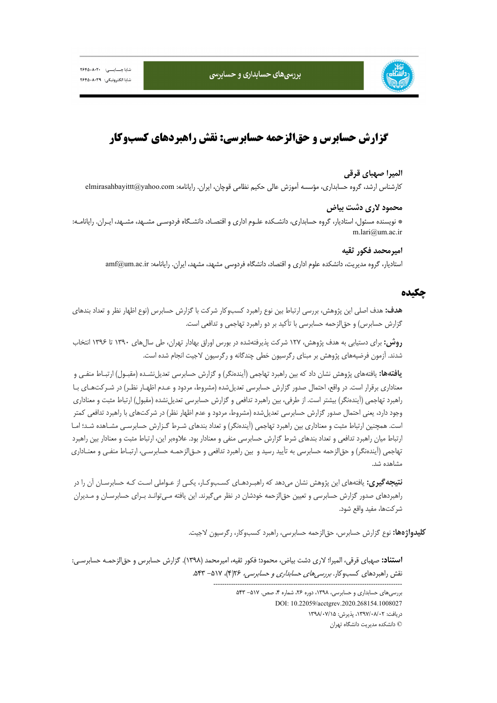



# **گزارش حسابرس و حقالزحمه حسابرسي: نقش راهبردهاي كسبوكار**

#### **الميرا صهباي قرقي**

كارشناس ارشد، گروه حسابداري، مؤسسه آموزش عالي حكيم نظامي قوچان، ايران. رايانامه: com.yahoo@elmirasahbayittt

#### **محمود لاري دشت بياض**

\* نويسنده مسئول، استاديار، گروه حسابداري، دانشـكده علـوم اداري و اقتصـاد، دانشـگاه فردوسـي مشـهد، مشـهد، ايـران. رايانامـه: m.lari@um.ac.ir

#### **اميرمحمد فكور ثقيه**

استاديار، گروه مديريت، دانشكده علوم اداري و اقتصاد، دانشگاه فردوسي مشهد، مشهد، ايران. رايانامه: ir.ac.um@amf

#### **چكيده**

**هدف:** هدف اصلي اين پژوهش، بررسي ارتباط بين نوع راهبرد كسبوكار شركت با گزارش حسابرس (نوع اظهار نظر و تعداد بندهاي گزارش حسابرس) و حقالزحمه حسابرسي با تأكيد بر دو راهبرد تهاجمي و تدافعي است.

**روش:** براي دستيابي به هدف پژوهش، 127 شركت پذيرفتهشده در بورس اوراق بهادار تهران، طي سالهاي 1390 تا 1396 انتخاب شدند. آزمون فرضيههاي پژوهش بر مبناي رگرسيون خطي چندگانه و رگرسيون لاجيت انجام شده است.

**يافتهها:** يافتههاي پژوهش نشان داد كه بين راهبرد تهاجمي (آيندهنگر) و گزارش حسابرسي تعديلنشـده (مقبـول) ارتبـاط منفـي و معناداري برقرار است. در واقع، احتمال صدور گزارش حسابرسي تعديلشده (مشروط، مردود و عـدم اظهـار نظـر) در شـركتهـاي بـا راهبرد تهاجمي (آيندهنگر) بيشتر است. از طرفي، بين راهبرد تدافعي و گزارش حسابرسي تعديلنشده (مقبول) ارتباط مثبت و معناداري وجود دارد، يعني احتمال صدور گزارش حسابرسي تعديلشده (مشروط، مردود و عدم اظهار نظر) در شركتهاي با راهبرد تدافعي كمتر است. همچنين ارتباط مثبت و معناداري بين راهبرد تهاجمي (آيندهنگر) و تعداد بندهاي شـرط گـزارش حسابرسـي مشـاهده شـد؛ امـا ارتباط ميان راهبرد تدافعي و تعداد بندهاي شرط گزارش حسابرسي منفي و معنادار بود. علاوهبر اين، ارتباط مثبت و معنادار بين راهبرد تهاجمي (آيندهنگر) و حقالزحمه حسابرسي به تأييد رسيد و بين راهبرد تدافعي و حـقالزحمـه حسابرسـي، ارتبـاط منفـي و معنـاداري مشاهده شد.

**نتيجهگيري:** يافتههاي اين پژوهش نشان ميدهد كه راهبـردهـاي كسـبوكـار، يكـي از عـواملي اسـت كـه حسابرسـان آن را در راهبردهاي صدور گزارش حسابرسي و تعيين حقالزحمه خودشان در نظر ميگيرند. اين يافته مـيتوانـد بـراي حسابرسـان و مـديران شركتها، مفيد واقع شود.

**كليدواژهها:** نوع گزارش حسابرس، حقالزحمه حسابرسي، راهبرد كسبوكار، رگرسيون لاجيت.

-------------------------------------------------------------------------------------

**استناد:** صهباي قرقي، الميرا؛ لاري دشت بياض، محمود؛ فكور ثقيه، اميرمحمد (1398). گزارش حسابرس و حقالزحمـه حسابرسـي: نقش راهبردهاي كسبوكار. *بررسي هاي حسابداري و حسابرسي، ٦٢*(۴)، ٥١٧- ٥۴٣.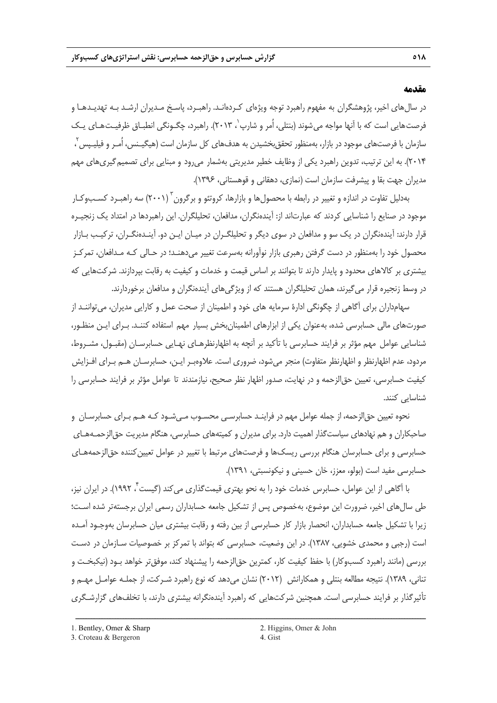#### **مقدمه**

در سالهاي اخير، پژوهشگران به مفهوم راهبرد توجه ويژهاي كـردهانـد. راهبـرد، پاسـخ مـديران ارشـد بـه تهديـدهـا و فرصت هايي است كه با آنها مواجه مي شوند (بنتلي، اُمر و شارپ ۲۰۱۳). راهبرد، چگـونگي انطبـاق ظرفيـت هـاي يـك سازمان با فرصتهای موجود در بازار، بهمنظور تحقق بخشیدن به هدفهای کل سازمان است (هیگیـنس، اُمـر و فیلیـپس <sup>۲</sup> ، 2014). به اين ترتيب، تدوين راهبرد يكي از وظايف خطير مديريتي بهشمار ميرود و مبنايي براي تصميمگيريهاي مهم مديران جهت بقا و پيشرفت سازمان است (نمازي، دهقاني و قوهستاني، 1396).

بهدليل تفاوت در اندازه و تغيير در رابطه با محصولها و بازارها، كروتئو و برگرون<sup>۳</sup> (۲۰۰۱) سه راهبـرد كسـبوكـار موجود در صنايع را شناسايي كردند كه عبارتاند از: آيندهنگران، مدافعان، تحليلگران. اين راهبردها در امتداد يك زنجيـره قرار دارند: آيندهنگران در يك سو و مدافعان در سوي ديگر و تحليلگـران در ميـان ايـن دو. آينـدهنگـران، تركيـب بـازار محصول خود را بهمنظور در دست گرفتن رهبري بازار نوآورانه بهسرعت تغيير ميدهنـد؛ در حـالي كـه مـدافعان، تمركـز بيشتري بر كالاهاي محدود و پايدار دارند تا بتوانند بر اساس قيمت و خدمات و كيفيت به رقابت بپردازند. شركتهايي كه در وسط زنجيره قرار ميگيرند، همان تحليلگران هستند كه از ويژگيهاي آيندهنگران و مدافعان برخوردارند.

سهامداران براي آگاهي از چگونگي ادارة سرمايه هاي خود و اطمينان از صحت عمل و كارايي مديران، ميتواننـد از صورتهاي مالي حسابرسي شده، بهعنوان يكي از ابزارهاي اطمينانبخش بسيار مهم استفاده كننـد. بـراي ايـن منظـور، شناسايي عوامل مهم مؤثر بر فرايند حسابرسي با تأكيد بر آنچه به اظهارنظرهـاي نهـايي حسابرسـان (مقبـول، مشـروط، مردود، عدم اظهارنظر و اظهارنظر متفاوت) منجر ميشود، ضروري است. علاوهبـر ايـن، حسابرسـان هـم بـراي افـزايش كيفيت حسابرسي، تعيين حقالزحمه و در نهايت، صدور اظهار نظر صحيح، نيازمندند تا عوامل مؤثر بر فرايند حسابرسي را شناسايي كنند.

نحوه تعيين حقالزحمه، از جمله عوامل مهم در فراينـد حسابرسـي محسـوب مـيشـود كـه هـم بـراي حسابرسـان و صاحبكاران و هم نهادهاي سياستگذار اهميت دارد. براي مديران و كميتههاي حسابرسي، هنگام مديريت حقالزحمـههـاي حسابرسي و براي حسابرسان هنگام بررسي ريسكها و فرصتهاي مرتبط با تغيير در عوامل تعيينكننده حقالزحمههـاي حسابرسي مفيد است (بولو، معزز، خان حسيني و نيكونسبتي، 1391).

با آگاهي از اين عوامل، حسابرس خدمات خود را به نحو بهتري قيمتگذاري ميكند (گيست<sup>7</sup>، ١٩٩٢). در ايران نيز، طي سالهاي اخير، ضرورت اين موضوع، بهخصوص پس از تشكيل جامعه حسابداران رسمي ايران برجستهتر شده اسـت؛ زيرا با تشكيل جامعه حسابداران، انحصار بازار كار حسابرسي از بين رفته و رقابت بيشتري ميان حسابرسان بهوجـود آمـده است (رجبي و محمدي خشويي، 1387). در اين وضعيت، حسابرسي كه بتواند با تمركز بر خصوصيات سـازمان در دسـت بررسي (مانند راهبرد كسبوكار) با حفظ كيفيت كار، كمترين حقالزحمه را پيشنهاد كند، موفقتر خواهد بـود (نيكبخـت و تناني، 1389). نتيجه مطالعه بنتلي و همكارانش (2012) نشان ميدهد كه نوع راهبرد شـركت، از جملـه عوامـل مهـم و تأثيرگذار بر فرايند حسابرسي است. همچنين شركتهايي كه راهبرد آيندهنگرانه بيشتري دارند، با تخلفهاي گزارشـگري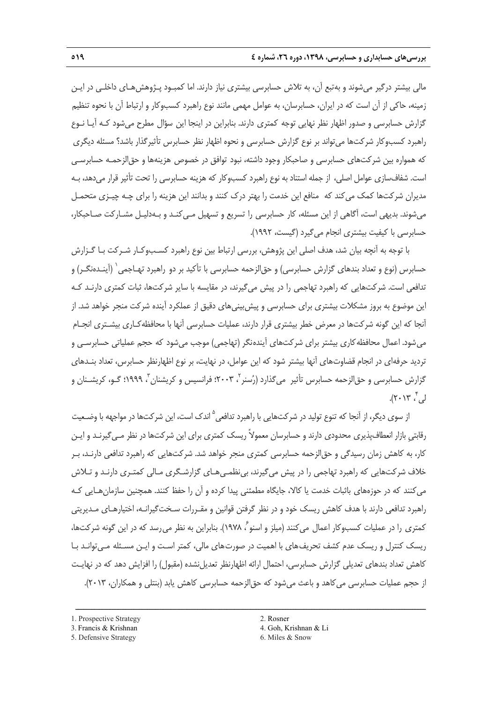مالي بيشتر درگير ميشوند و بهتبع آن، به تلاش حسابرسي بيشتري نياز دارند. اما كمبـود پـژوهشهـاي داخلـي در ايـن زمينه، حاكي از آن است كه در ايران، حسابرسان، به عوامل مهمي مانند نوع راهبرد كسبوكار و ارتباط آن با نحوه تنظيم گزارش حسابرسي و صدور اظهار نظر نهايي توجه كمتري دارند. بنابراين در اينجا اين سؤال مطرح ميشود كـه آيـا نـوع راهبرد كسبوكار شركتها ميتواند بر نوع گزارش حسابرسي و نحوه اظهار نظر حسابرس تأثيرگذار باشد؟ مسئله ديگري كه همواره بين شركتهاي حسابرسي و صاحبكار وجود داشته، نبود توافق در خصوص هزينهها و حقالزحمـه حسابرسـي است. شفافسازي عوامل اصلي، از جمله استناد به نوع راهبرد كسبوكار كه هزينه حسابرسي را تحت تأثير قرار ميدهد، بـه مديران شركتها كمك ميكند كه منافع اين خدمت را بهتر درك كنند و بدانند اين هزينه را براي چـه چيـزي متحمـل ميشوند. بديهي است، آگاهي از اين مسئله، كار حسابرسي را تسريع و تسهيل مـيكنـد و بـهدليـل مشـاركت صـاحبكار، حسابرسي با كيفيت بيشتري انجام ميگيرد (گيست، 1992).

با توجه به آنچه بيان شد، هدف اصلي اين پژوهش، بررسي ارتباط بين نوع راهبرد كسـبوكـار شـركت بـا گـزارش حسابرس (نوع و تعداد بندهای گزارش حسابرسی) و حق|لزحمه حسابرسی با تأکید بر دو راهبرد تهـاجمی` (آینـدهنگـر) و تدافعي است. شركتهايي كه راهبرد تهاجمي را در پيش ميگيرند، در مقايسه با ساير شركتها، ثبات كمتري دارنـد كـه اين موضوع به بروز مشكلات بيشتري براي حسابرسي و پيشبينيهاي دقيق از عملكرد آينده شركت منجر خواهد شد. از آنجا كه اين گونه شركتها در معرض خطر بيشتري قرار دارند، عمليات حسابرسي آنها با محافظهكـاري بيشـتري انجـام ميشود. اعمال محافظهكاري بيشتر براي شركتهاي آيندهنگر (تهاجمي) موجب ميشود كه حجم عملياتي حسابرسـي و ترديد حرفهاي در انجام قضاوتهاي آنها بيشتر شود كه اين عوامل، در نهايت، بر نوع اظهارنظر حسابرس، تعداد بنـدهاي گزارش حسابرسی و حق|لزحمه حسابرس تأثیر می ${\mathfrak{sl}}$ دارد (رُسنر ۲۰۰۳؛ فرانسیس و کریشنان ّ، ۱۹۹۹؛ گـو، کریشــنان و  $(7.17 \cdot 7)$ 

از سوى ديگر، از آنجا كه تنوع توليد در شركتهايي با راهبرد تدافعي<sup>۵</sup> اندک است، اين شركتها در مواجهه با وضـعيت رقابتيِ بازار انعطافپذيري محدودي دارند و حسابرسان معمولاً ريسك كمتري براي اين شركتها در نظر مـيگيرنـد و ايـن كار، به كاهش زمان رسيدگي و حقالزحمه حسابرسي كمتري منجر خواهد شد. شركتهايي كه راهبرد تدافعي دارنـد، بـر خلاف شركتهايي كه راهبرد تهاجمي را در پيش ميگيرند، بينظمـيهـاي گزارشـگري مـالي كمتـري دارنـد و تـلاش ميكنند كه در حوزههاي باثبات خدمت يا كالا، جايگاه مطمئني پيدا كرده و آن را حفظ كنند. همچنين سازمانهـايي كـه راهبرد تدافعي دارند با هدف كاهش ريسك خود و در نظر گرفتن قوانين و مقـررات سـختگيرانـه، اختيارهـاي مـديريتي كمترى را در عمليات كسبوكار اعمال مي كنند (ميلز و اسنو ، ١٩٧٨). بنابراين به نظر مي رسد كه در اين گونه شركتها، ريسك كنترل و ريسك عدم كشف تحريفهاي با اهميت در صورتهاي مالي، كمتر اسـت و ايـن مسـئله مـيتوانـد بـا كاهش تعداد بندهاي تعديلي گزارش حسابرسي، احتمال ارائه اظهارنظر تعديل نشده (مقبول) را افزايش دهد كه در نهايـت از حجم عمليات حسابرسي ميكاهد و باعث ميشود كه حقالزحمه حسابرسي كاهش يابد (بنتلي و همكاران، 2013).

<sup>1.</sup> Prospective Strategy 2. Rosner

<sup>3.</sup> Francis & Krishnan 4. Goh, Krishnan & Li

<sup>5.</sup> Defensive Strategy 6. Miles & Snow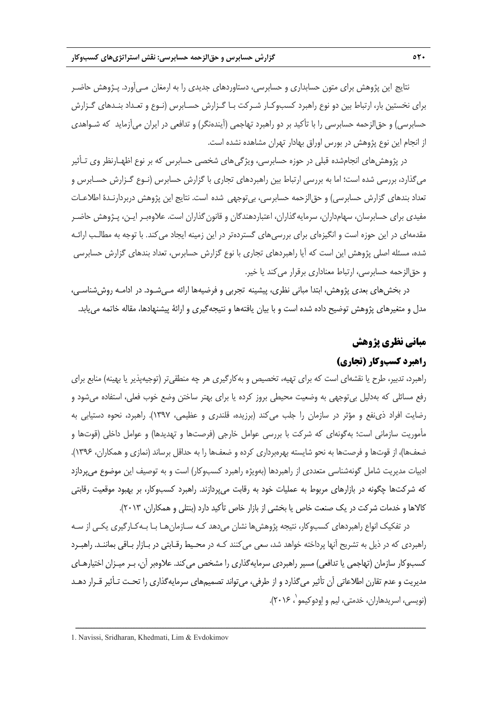نتايج اين پژوهش براي متون حسابداري و حسابرسي، دستاوردهاي جديدي را به ارمغان مـيآورد. پـژوهش حاضـر براي نخستين بار، ارتباط بين دو نوع راهبرد كسبوكـار شـركت بـا گـزارش حسـابرس (نـوع و تعـداد بنـدهاي گـزارش حسابرسي) و حقالزحمه حسابرسي را با تأكيد بر دو راهبرد تهاجمي (آيندهنگر) و تدافعي در ايران ميآزمايد كه شـواهدي از انجام اين نوع پژوهش در بورس اوراق بهادار تهران مشاهده نشده است.

در پژوهشهاي انجامشده قبلي در حوزه حسابرسي، ويژگيهاي شخصي حسابرس كه بر نوع اظهـارنظر وي تـأثير ميگذارد، بررسي شده است؛ اما به بررسي ارتباط بين راهبردهاي تجاري با گزارش حسابرس (نـوع گـزارش حسـابرس و تعداد بندهاي گزارش حسابرسي) و حقالزحمه حسابرسي، بيتوجهي شده است. نتايج اين پژوهش دربردارنـدة اطلاعـات مفيدي براي حسابرسان، سهامداران، سرمايهگذاران، اعتباردهندگان و قانونگذاران است. علاوهبـر ايـن، پـژوهش حاضـر مقدمهاي در اين حوزه است و انگيزهاي براي بررسيهاي گستردهتر در اين زمينه ايجاد ميكند. با توجه به مطالـب ارائـه شده، مسئله اصلي پژوهش اين است كه آيا راهبردهاي تجاري با نوع گزارش حسابرس، تعداد بندهاي گزارش حسابرسي و حق الزحمه حسابرسي، ارتباط معناداري برقرار مي كند يا خير.

در بخشهاي بعدي پژوهش، ابتدا مباني نظري، پيشينه تجربي و فرضيهها ارائه مـيشـود. در ادامـه روششناسـي، مدل و متغيرهاي پژوهش توضيح داده شده است و با بيان يافتهها و نتيجهگيري و ارائة پيشنهادها، مقاله خاتمه مييابد.

# **مباني نظري پژوهش**

# **راهبرد كسبوكار (تجاري)**

راهبرد، تدبير، طرح يا نقشهاي است كه براي تهيه، تخصيص و بهكارگيري هر چه منطقيتر (توجيهپذير يا بهينه) منابع براي رفع مسائلي كه بهدليل بيتوجهي به وضعيت محيطي بروز كرده يا براي بهتر ساختن وضع خوب فعلي، استفاده ميشود و رضايت افراد ذينفع و مؤثر در سازمان را جلب ميكند (برزيده، قلندري و عظيمي، 1397). راهبرد، نحوه دستيابي به مأموريت سازماني است؛ بهگونهاي كه شركت با بررسي عوامل خارجي (فرصتها و تهديدها) و عوامل داخلي (قوتها و ضعفها)، از قوتها و فرصتها به نحو شايسته بهرهبرداري كرده و ضعفها را به حداقل برساند (نمازي و همكاران، 1396). ادبيات مديريت شامل گونهشناسي متعددي از راهبردها (بهويژه راهبرد كسبوكار) است و به توصيف اين موضوع ميپردازد كه شركتها چگونه در بازارهاي مربوط به عمليات خود به رقابت ميپردازند. راهبرد كسبوكار، بر بهبود موقعيت رقابتي كالاها و خدمات شركت در يك صنعت خاص يا بخشي از بازار خاص تأكيد دارد (بنتلي و همكاران، 2013).

در تفكيك انواع راهبردهاي كسبوكار، نتيجه پژوهش ها نشان مي دهد كـه سـازمان هـا بـا بـهكـارگيري يكـي از سـه راهبردي كه در ذيل به تشريح آنها پرداخته خواهد شد، سعي ميكنند كـه در محـيط رقـابتي در بـازار بـاقي بماننـد. راهبـرد كسبوكار سازمان (تهاجمي يا تدافعي) مسير راهبردي سرمايهگذاري را مشخص ميكند. علاوهبر آن، بـر ميـزان اختيارهـاي مديريت و عدم تقارن اطلاعاتي آن تأثير ميگذارد و از طرفي، ميتواند تصميمهاي سرمايهگذاري را تحـت تـأثير قـرار دهـد (نويسي، اسريدهاران، خدمتي، ليم و إودوكيمو`، ٢٠١۶).

<sup>1.</sup> Navissi, Sridharan, Khedmati, Lim & Evdokimov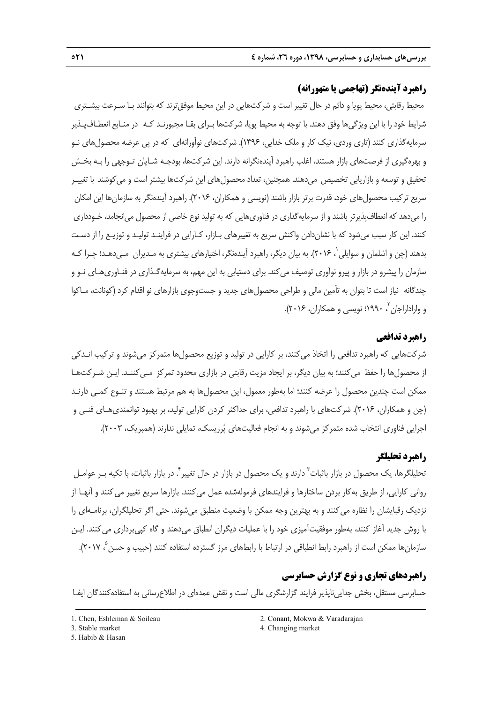# **راهبرد آيندهنگر (تهاجمي يا متهورانه)**

محيط رقابتي، محيط پويا و دائم در حال تغيير است و شركتهايي در اين محيط موفقترند كه بتوانند بـا سـرعت بيشـتري شرايط خود را با اين ويژگيها وفق دهند. با توجه به محيط پويا، شركتها بـراي بقـا مجبورنـد كـه در منـابع انعطـافپـذير سرمايهگذاري كنند (تاري وردي، نيك كار و ملك خدايي، 1396). شركتهاي نوآورانهاي كه در پي عرضه محصولهاي نـو و بهرهگيري از فرصتهاي بازار هستند، اغلب راهبرد آيندهنگرانه دارند. اين شركتها، بودجـه شـايان تـوجهي را بـه بخـش تحقيق و توسعه و بازاريابي تخصيص ميدهند. همچنين، تعداد محصولهاي اين شركتها بيشتر است و ميكوشند با تغييـر سريع تركيب محصولهاي خود، قدرت برتر بازار باشند (نويسي و همكاران، 2016). راهبرد آيندهنگر به سازمانها اين امكان را ميدهد كه انعطافپذيرتر باشند و از سرمايهگذاري در فناوريهايي كه به توليد نوع خاصي از محصول ميانجامد، خـودداري كنند. اين كار سبب ميشود كه با نشاندادن واكنش سريع به تغييرهاي بـازار، كـارايي در فراينـد توليـد و توزيـع را از دسـت بدهند (چن و اشلمان و سوايلي ، 2016). به بيان ديگر، راهبرد آيندهنگر، اختيارهاي بيشتري به مـديران مـيدهـد؛ چـرا كـه <sup>1</sup> سازمان را پيشرو در بازار و پيرو نوآوري توصيف ميكند. براي دستيابي به اين مهم، به سرمايهگـذاري در فنـاوريهـاي نـو و چندگانه نياز است تا بتوان به تأمين مالي و طراحي محصولهاي جديد و جستوجوي بازارهاي نو اقدام كرد (كونانت، مـاكوا و واراداراجان ، 1990؛ نويسي و همكاران، 2016). <sup>2</sup>

## **راهبرد تدافعي**

شركتهايي كه راهبرد تدافعي را اتخاذ ميكنند، بر كارايي در توليد و توزيع محصولها متمركز ميشوند و تركيب انـدكي از محصولها را حفظ ميكنند؛ به بيان ديگر، بر ايجاد مزيت رقابتي در بازاري محدود تمركز مـيكننـد. ايـن شـركتهـا ممكن است چندين محصول را عرضه كنند؛ اما بهطور معمول، اين محصولها به هم مرتبط هستند و تنـوع كمـي دارنـد (چن و همكاران، 2016). شركتهاي با راهبرد تدافعي، براي حداكثر كردن كارايي توليد، بر بهبود توانمنديهـاي فنـي و اجرايي فناوري انتخاب شده متمركز ميشوند و به انجام فعاليتهاي پرريسك، تمايلي ندارند (همبريك، 2003).

## **راهبرد تحليلگر**

تحليلگرها، يک محصول در بازار باثبات<sup>7</sup> دارند و يک محصول در بازار در حال تغيير<sup>٢</sup>. در بازار باثبات، با تکيه بـر عوامـل رواني كارايي، از طريق بهكار بردن ساختارها و فرايندهاي فرمولهشده عمل ميكنند. بازارها سريع تغيير ميكنند و آنهـا از نزديك رقبايشان را نظاره ميكنند و به بهترين وجه ممكن با وضعيت منطبق ميشوند. حتي اگر تحليلگران، برنامـهاي را با روش جديد آغاز كنند، بهطور موفقيتآميزي خود را با عمليات ديگران انطباق ميدهند و گاه كپيبرداري ميكنند. ايـن ، 2017). <sup>5</sup> سازمانها ممكن است از راهبرد رابط انطباقي در ارتباط با رابطهاي مرز گسترده استفاده كنند (حبيب و حسن

# **راهبردهاي تجاري و نوع گزارش حسابرسي**

حسابرسي مستقل، بخش جدايي ناپذير فرايند گزارشگري مالي است و نقش عمدهاي در اطلاعرساني به استفادهكنندگان ايفـا ــــــــــــــــــــــــــــــــــــــــــــــــــــــــــــــــــــــــــــــــــــــــــــــــــــــــــــــــــــــــــــــــــــ

3. Stable market 4. Changing market

<sup>5.</sup> Habib & Hasan

<sup>1.</sup> Chen, Eshleman & Soileau 2. Conant, Mokwa & Varadarajan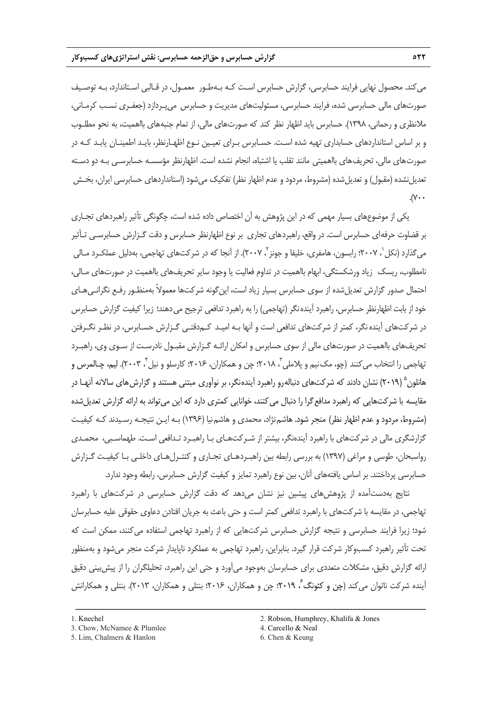ميكند. محصول نهايي فرايند حسابرسي، گزارش حسابرس اسـت كـه بـهطـور معمـول، در قـالبي اسـتاندارد، بـه توصـيف صورتهاي مالي حسابرسي شده، فرايند حسابرسي، مسئوليتهاي مديريت و حسابرس ميپـردازد (جعفـري نسـب كرمـاني، ملانظري و رحماني، 1398). حسابرس بايد اظهار نظر كند كه صورتهاي مالي، از تمام جنبههاي بااهميت، به نحو مطلـوب و بر اساس استانداردهاي حسابداري تهيه شده اسـت. حسـابرس بـراي تعيـين نـوع اظهـارنظر، بايـد اطمينـان يابـد كـه در صورتهاي مالي، تحريفهاي بااهميتي مانند تقلب يا اشتباه، انجام نشده است. اظهارنظر مؤسسـه حسابرسـي بـه دو دسـته تعديلنشده (مقبول) و تعديلشده (مشروط، مردود و عدم اظهار نظر) تفكيك ميشود (استانداردهاي حسابرسي ايران، بخـش  $\mathcal{N}$ .

يكي از موضوعهاي بسيار مهمي كه در اين پژوهش به آن اختصاص داده شده است، چگونگي تأثير راهبردهاي تجـاري بر قضاوت حرفهاي حسابرس است. در واقع، راهبردهاي تجاري بر نوع اظهارنظر حسابرس و دقت گـزارش حسابرسـي تـأثير ميگذارد (نكل ٰ، ٢٠٠٧؛ رابسون، هامفرى، خليفا و جونز <sup>י</sup>، ٢٠٠٧). از آنجا كه در شركتهاى تهاجمى، بهدليل عملكـرد مـالي نامطلوب، ريسك زياد ورشكستگي، ابهام بااهميت در تداوم فعاليت يا وجود ساير تحريفهاي بااهميت در صورتهاي مـالي، احتمال صدور گزارش تعديلشده از سوي حسابرس بسيار زياد است، اينگونه شركتها معمولاً بهمنظـور رفـع نگرانـيهـاي خود از بابت اظهارنظر حسابرس، راهبرد آيندهنگر (تهاجمي) را به راهبرد تدافعي ترجيح ميدهند؛ زيرا كيفيت گزارش حسابرس در شركتهاي آيندهنگر، كمتر از شركتهاي تدافعي است و آنها بـه اميـد كـمدقتـي گـزارش حسـابرس، در نظـر نگـرفتن تحريفهاي بااهميت در صورتهاي مالي از سوي حسابرس و امكان ارائـه گـزارش مقبـول نادرسـت از سـوي وي، راهبـرد نهاجمي را انتخاب مي كنند (چو، مک نيم و پلاملي ّ، ٢٠١٨؛ چن و همكاران، ٢٠١۶؛ كارسلو و نيل ً، ٢٠٠٣). ليم، چـالمرس و هانلون <sup>۵</sup> (۲۰۱۹) نشان دادند كه شركتهاي دنباله<sub>ر</sub>و راهبرد آيندهنگر، بر نوآوري مبتني هستند و گزارش هاي سالانه آنهـا در مقايسه با شركتهايي كه راهبرد مدافع گرا را دنبال مي كنند، خوانايي كمتري دارد كه اين مي تواند به ارائه گزارش تعديل شده (مشروط، مردود و عدم اظهار نظر) منجر شود. هاشمنژاد، محمدي و هاشمنيا (1396) بـه ايـن نتيجـه رسـيدند كـه كيفيـت گزارشگري مالي در شركتهاي با راهبرد آيندهنگر، بيشتر از شـركتهـاي بـا راهبـرد تـدافعي اسـت. طهماسـبي، محمـدي رواسبحان، طوسي و مراغي (1397) به بررسي رابطه بين راهبـردهـاي تجـاري و كنتـرلهـاي داخلـي بـا كيفيـت گـزارش حسابرسي پرداختند. بر اساس يافتههاي آنان، بين نوع راهبرد تمايز و كيفيت گزارش حسابرس، رابطه وجود ندارد.

نتايج بهدستآمده از پژوهش هاي پيشين نيز نشان مي(هد كه دقت گزارش حسابرسي در شركتهاي با راهبرد تهاجمي، در مقايسه با شركتهاي با راهبرد تدافعي كمتر است و حتي باعث به جريان افتادن دعاوي حقوقي عليه حسابرسان شود؛ زيرا فرايند حسابرسي و نتيجه گزارش حسابرس شركتهايي كه از راهبرد تهاجمي استفاده ميكنند، ممكن است كه تحت تأثير راهبرد كسبوكار شركت قرار گيرد. بنابراين، راهبرد تهاجمي به عملكرد ناپايدار شركت منجر ميشود و بهمنظور ارائه گزارش دقيق، مشكلات متعددي براي حسابرسان بهوجود ميآورد و حتي اين راهبرد، تحليلگران را از پيشبيني دقيق آينده شركت ناتوان مي كند (چن و كئونگ ً، ٢٠١٩؛ چن و همكاران، ٢٠١۶؛ بنتلي و همكاران، ٢٠١٣). بنتلي و همكارانش

ــــــــــــــــــــــــــــــــــــــــــــــــــــــــــــــــــــــــــــــــــــــــــــــــــــــــــــــــــــــــــــــــــــ

3. Chow, McNamee & Plumlee 4. Carcello & Neal

<sup>5.</sup> Lim, Chalmers & Hanlon 6. Chen & Keung

<sup>1.</sup> Knechel 2. Robson, Humphrey, Khalifa & Jones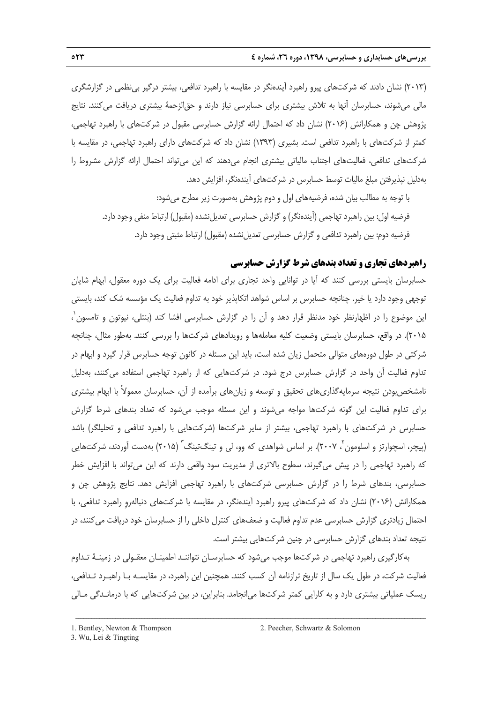(2013) نشان دادند كه شركتهاي پيرو راهبرد آيندهنگر در مقايسه با راهبرد تدافعي، بيشتر درگير بينظمي در گزارشگري مالي ميشوند، حسابرسان آنها به تلاش بيشتري براي حسابرسي نياز دارند و حقالزحمة بيشتري دريافت ميكنند. نتايج پژوهش چن و همكارانش (2016) نشان داد كه احتمال ارائه گزارش حسابرسي مقبول در شركتهاي با راهبرد تهاجمي، كمتر از شركتهاي با راهبرد تدافعي است. بشيري (1393) نشان داد كه شركتهاي داراي راهبرد تهاجمي، در مقايسه با شركتهاي تدافعي، فعاليتهاي اجتناب مالياتي بيشتري انجام ميدهند كه اين ميتواند احتمال ارائه گزارش مشروط را بهدليل نپذيرفتن مبلغ ماليات توسط حسابرس در شركتهاي آيندهنگر، افزايش دهد.

با توجه به مطالب بيان شده، فرضيههاي اول و دوم پژوهش بهصورت زير مطرح ميشود: فرضيه اول: بين راهبرد تهاجمي (آيندهنگر) و گزارش حسابرسي تعديلنشده (مقبول) ارتباط منفي وجود دارد. فرضيه دوم: بين راهبرد تدافعي و گزارش حسابرسي تعديلنشده (مقبول) ارتباط مثبتي وجود دارد.

## **راهبردهاي تجاري و تعداد بندهاي شرط گزارش حسابرسي**

حسابرسان بايستي بررسي كنند كه آيا در توانايي واحد تجاري براي ادامه فعاليت براي يك دوره معقول، ابهام شايان توجهي وجود دارد يا خير. چنانچه حسابرس بر اساس شواهد اتكاپذير خود به تداوم فعاليت يك مؤسسه شك كند، بايستي 1 اين موضوع را در اظهارنظر خود مدنظر قرار دهد و آن را در گزارش حسابرسي افشا كند (بنتلي، نيوتون و تامسون ، 2015). در واقع، حسابرسان بايستي وضعيت كليه معاملهها و رويدادهاي شركتها را بررسي كنند. بهطور مثال، چنانچه شركتي در طول دورههاي متوالي متحمل زيان شده است، بايد اين مسئله در كانون توجه حسابرس قرار گيرد و ابهام در تداوم فعاليت آن واحد در گزارش حسابرس درج شود. در شركتهايي كه از راهبرد تهاجمي استفاده ميكنند، بهدليل نامشخصبودن نتيجه سرمايهگذاريهاي تحقيق و توسعه و زيانهاي برآمده از آن، حسابرسان معمولاً با ابهام بيشتري براي تداوم فعاليت اين گونه شركتها مواجه ميشوند و اين مسئله موجب ميشود كه تعداد بندهاي شرط گزارش حسابرس در شركتهاي با راهبرد تهاجمي، بيشتر از ساير شركتها (شركتهايي با راهبرد تدافعي و تحليلگر) باشد (پیچر، اسچوارتز و اسلومون <sup>۲</sup>، ۲۰۰۷). بر اساس شواهدی که وو، لی و تینگتینگ <sup>۳</sup> (۲۰۱۵) بهدست آوردند، شرکتهایی كه راهبرد تهاجمي را در پيش ميگيرند، سطوح بالاتري از مديريت سود واقعي دارند كه اين ميتواند با افزايش خطر حسابرسي، بندهاي شرط را در گزارش حسابرسي شركتهاي با راهبرد تهاجمي افزايش دهد. نتايج پژوهش چن و همكارانش (2016) نشان داد كه شركتهاي پيرو راهبرد آيندهنگر، در مقايسه با شركتهاي دنبالهروِ راهبرد تدافعي، با احتمال زيادتري گزارش حسابرسي عدم تداوم فعاليت و ضعفهاي كنترل داخلي را از حسابرسان خود دريافت ميكنند، در نتيجه تعداد بندهاي گزارش حسابرسي در چنين شركتهايي بيشتر است.

بهكارگيري راهبرد تهاجمي در شركتها موجب ميشود كه حسابرسـان نتواننـد اطمينـان معقـولي در زمينـة تـداوم فعاليت شركت، در طول يك سال از تاريخ ترازنامه آن كسب كنند. همچنين اين راهبرد، در مقايسـه بـا راهبـرد تـدافعي، ريسك عملياتي بيشتري دارد و به كارايي كمتر شركتها ميانجامد. بنابراين، در بين شركتهايي كه با درمانـدگي مـالي

<sup>1.</sup> Bentley, Newton & Thompson 2. Peecher, Schwartz & Solomon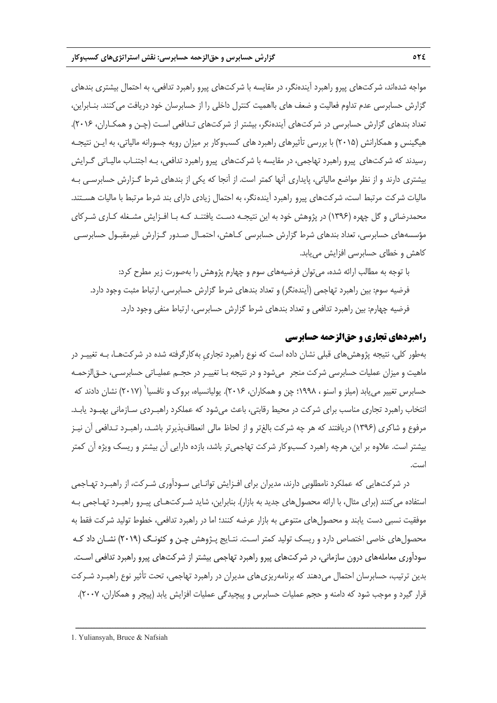مواجه شدهاند، شركتهاي پيرو راهبرد آيندهنگر، در مقايسه با شركتهاي پيرو راهبرد تدافعي، به احتمال بيشتري بندهاي گزارش حسابرسي عدم تداوم فعاليت و ضعف هاي بااهميت كنترل داخلي را از حسابرسان خود دريافت ميكنند. بنـابراين، تعداد بندهاي گزارش حسابرسي در شركتهاي آيندهنگر، بيشتر از شركتهاي تـدافعي اسـت (چـن و همكـاران، 2016). هيگينس و همكارانش (2015) با بررسي تأثيرهاي راهبردهاي كسبوكار بر ميزان رويه جسورانه مالياتي، به ايـن نتيجـه رسيدند كه شركتهاي پيرو راهبرد تهاجمي، در مقايسه با شركتهاي پيرو راهبرد تدافعي، بـه اجتنـاب ماليـاتي گـرايش بيشتري دارند و از نظر مواضع مالياتي، پايداري آنها كمتر است. از آنجا كه يكي از بندهاي شرط گـزارش حسابرسـي بـه ماليات شركت مرتبط است، شركتهاي پيرو راهبرد آيندهنگر، به احتمال زيادي داراي بند شرط مرتبط با ماليات هسـتند. محمدرضائي و گل چهره (1396) در پژوهش خود به اين نتيجـه دسـت يافتنـد كـه بـا افـزايش مشـغله كـاري شـركاي مؤسسههاي حسابرسي، تعداد بندهاي شرط گزارش حسابرسي كـاهش، احتمـال صـدور گـزارش غيرمقبـول حسابرسـي كاهش و خطاي حسابرسي افزايش مييابد.

با توجه به مطالب ارائه شده، ميتوان فرضيههاي سوم و چهارم پژوهش را بهصورت زير مطرح كرد: فرضيه سوم: بين راهبرد تهاجمي (آيندهنگر) و تعداد بندهاي شرط گزارش حسابرسي، ارتباط مثبت وجود دارد. فرضيه چهارم: بين راهبرد تدافعي و تعداد بندهاي شرط گزارش حسابرسي، ارتباط منفي وجود دارد.

## **راهبردهاي تجاري و حقالزحمه حسابرسي**

بهطور كلي، نتيجه پژوهشهاي قبلي نشان داده است كه نوع راهبرد تجاريِ بهكارگرفته شده در شركتهـا، بـه تغييـر در ماهيت و ميزان عمليات حسابرسي شركت منجر ميشود و در نتيجه بـا تغييـر در حجـم عمليـاتي حسابرسـي، حـقالزحمـه حسابرس تغيير مي يابد (ميلز و اسنو ، ١٩٩٨؛ چن و همكاران، ٢٠١۶). يوليانسياه، بروک و نافسيا` (٢٠١٧) نشان دادند كه انتخاب راهبرد تجاري مناسب براي شركت در محيط رقابتي، باعث ميشود كه عملكرد راهبـردي سـازماني بهبـود يابـد. مرفوع و شاكري (1396) دريافتند كه هر چه شركت بالغتر و از لحاظ مالي انعطافپذيرتر باشـد، راهبـرد تـدافعي آن نيـز بيشتر است. علاوه بر اين، هرچه راهبرد كسبوكار شركت تهاجميتر باشد، بازده دارايي آن بيشتر و ريسك ويژه آن كمتر است.

در شركتهايي كه عملكرد نامطلوبي دارند، مديران براي افـزايش توانـايي سـودآوري شـركت، از راهبـرد تهـاجمي استفاده ميكنند (براي مثال، با ارائه محصولهاي جديد به بازار). بنابراين، شايد شـركتهـاي پيـرو راهبـرد تهـاجمي بـه موفقيت نسبي دست يابند و محصولهاي متنوعي به بازار عرضه كنند؛ اما در راهبرد تدافعي، خطوط توليد شركت فقط به محصولهاي خاصي اختصاص دارد و ريسك توليد كمتر اسـت. نتـايج پـژوهش چـن و كئونـگ (2019) نشـان داد كـه سودآوري معاملههاي درون سازماني، در شركتهاي پيرو راهبرد تهاجمي بيشتر از شركتهاي پيرو راهبرد تدافعي اسـت. بدين ترتيب، حسابرسان احتمال مي دهند كه برنامهريزي هاي مديران در راهبرد تهاجمي، تحت تأثير نوع راهبـرد شـركت قرار گيرد و موجب شود كه دامنه و حجم عمليات حسابرس و پيچيدگي عمليات افزايش يابد (پيچر و همكاران، 2007).

<sup>1.</sup> Yuliansyah, Bruce & Nafsiah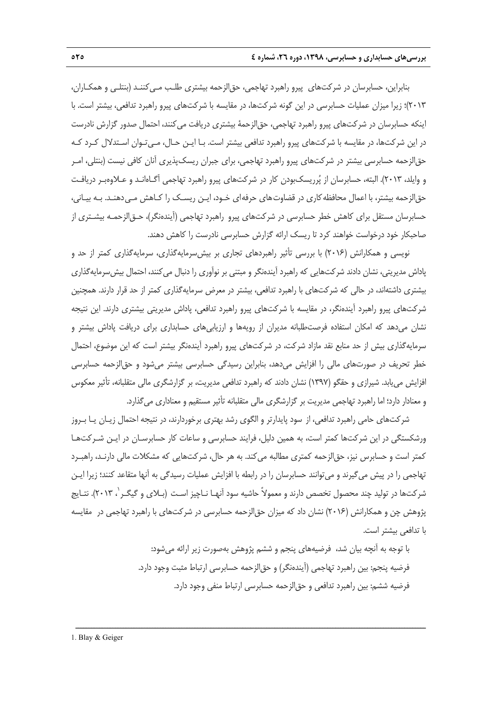بنابراين، حسابرسان در شركتهاي پيرو راهبرد تهاجمي، حقالزحمه بيشتري طلـب مـيكننـد (بنتلـي و همكـاران، 2013)؛ زيرا ميزان عمليات حسابرسي در اين گونه شركتها، در مقايسه با شركتهاي پيرو راهبرد تدافعي، بيشتر است. با اينكه حسابرسان در شركتهاي پيرو راهبرد تهاجمي، حقالزحمة بيشتري دريافت ميكنند، احتمال صدور گزارش نادرست در اين شركتها، در مقايسه با شركتهاي پيرو راهبرد تدافعي بيشتر است. بـا ايـن حـال، مـيتـوان اسـتدلال كـرد كـه حقالزحمه حسابرسي بيشتر در شركتهاي پيرو راهبرد تهاجمي، براي جبران ريسكپذيري آنان كافي نيست (بنتلي، امـر و وايلد، 2013). البته، حسابرسان از پرريسكبودن كار در شركتهاي پيرو راهبرد تهاجمي آگـاهانـد و عـلاوهبـر دريافـت حقالزحمه بيشتر، با اعمال محافظهكاري در قضاوتهاي حرفهاي خـود، ايـن ريسـك را كـاهش مـيدهنـد. بـه بيـاني، حسابرسان مستقل براي كاهش خطر حسابرسي در شركتهاي پيرو راهبرد تهاجمي (آيندهنگر)، حـقالزحمـه بيشـتري از صاحبكار خود درخواست خواهند كرد تا ريسك ارائه گزارش حسابرسي نادرست را كاهش دهند.

نويسي و همكارانش (2016) با بررسي تأثير راهبردهاي تجاري بر بيشسرمايهگذاري، سرمايهگذاري كمتر از حد و پاداش مديريتي، نشان دادند شركتهايي كه راهبرد آيندهنگر و مبتني بر نوآوري را دنبال ميكنند، احتمال بيشسرمايهگذاري بيشتري داشتهاند، در حالي كه شركتهاي با راهبرد تدافعي، بيشتر در معرض سرمايهگذاري كمتر از حد قرار دارند. همچنين شركتهاي پيرو راهبرد آيندهنگر، در مقايسه با شركتهاي پيرو راهبرد تدافعي، پاداش مديريتي بيشتري دارند. اين نتيجه نشان ميدهد كه امكان استفاده فرصتطلبانه مديران از رويهها و ارزيابيهاي حسابداري براي دريافت پاداش بيشتر و سرمايهگذاري بيش از حد منابع نقد مازاد شركت، در شركتهاي پيرو راهبرد آيندهنگر بيشتر است كه اين موضوع، احتمال خطر تحريف در صورتهاي مالي را افزايش ميدهد، بنابراين رسيدگي حسابرسي بيشتر ميشود و حقالزحمه حسابرسي افزايش مييابد. شيرازي و حقگو (1397) نشان دادند كه راهبرد تدافعي مديريت، بر گزارشگري مالي متقلبانه، تأثير معكوس و معنادار دارد؛ اما راهبرد تهاجمي مديريت بر گزارشگري مالي متقلبانه تأثير مستقيم و معناداري ميگذارد.

شركتهاي حامي راهبرد تدافعي، از سود پايدارتر و الگوي رشد بهتري برخوردارند، در نتيجه احتمال زيـان يـا بـروز ورشكستگي در اين شركتها كمتر است، به همين دليل، فرايند حسابرسي و ساعات كار حسابرسـان در ايـن شـركتهـا كمتر است و حسابرس نيز، حق|لزحمه كمترى مطالبه مي كند. به هر حال، شركتهايي كه مشكلات مالي دارنـد، راهبـرد تهاجمي را در پيش ميگيرند و ميتوانند حسابرسان را در رابطه با افزايش عمليات رسيدگي به آنها متقاعد كنند؛ زيرا ايـن شركتها در توليد چند محصول تخصص دارند و معمولاً حاشيه سود آنهـا نـاچيز اسـت (بـلاي و گيگـر '، ٢٠١٣). نتـايج پژوهش چن و همكارانش (2016) نشان داد كه ميزان حقالزحمه حسابرسي در شركتهاي با راهبرد تهاجمي در مقايسه با تدافعي بيشتر است.

ــــــــــــــــــــــــــــــــــــــــــــــــــــــــــــــــــــــــــــــــــــــــــــــــــــــــــــــــــــــــــــــــــــ

با توجه به آنچه بيان شد، فرضيههاي پنجم و ششم پژوهش بهصورت زير ارائه ميشود: فرضيه پنجم: بين راهبرد تهاجمي (آيندهنگر) و حقالزحمه حسابرسي ارتباط مثبت وجود دارد. فرضيه ششم: بين راهبرد تدافعي و حقالزحمه حسابرسي ارتباط منفي وجود دارد.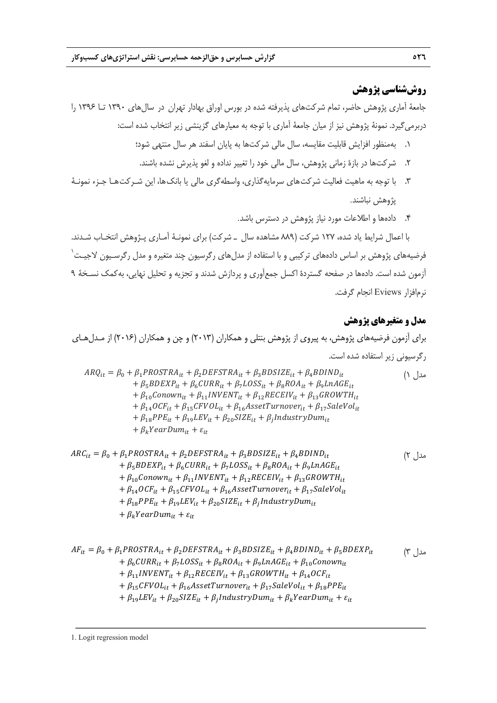# **روششناسي پژوهش**

جامعة آماري پژوهش حاضر، تمام شركتهاي پذيرفته شده در بورس اوراق بهادار تهران در سالهاي 1390 تـا 1396 را دربرميگيرد. نمونة پژوهش نيز از ميان جامعة آماري با توجه به معيارهاي گزينشي زير انتخاب شده است:

- .1 بهمنظور افزايش قابليت مقايسه، سال مالي شركتها به پايان اسفند هر سال منتهي شود؛
- .2 شركتها در بازة زماني پژوهش، سال مالي خود را تغيير نداده و لغو پذيرش نشده باشند.
- .3 با توجه به ماهيت فعاليت شركتهاي سرمايهگذاري، واسطهگري مالي يا بانكها، اين شـركتهـا جـزء نمونـة پژوهش نباشند.
	- .4 دادهها و اطلاعات مورد نياز پژوهش در دسترس باشد.

با اعمال شرايط ياد شده، 127 شركت (889 مشاهده سال ـ شركت) براي نمونـة آمـاري پـژوهش انتخـاب شـدند. .<br>فرضيههاي پژوهش بر اساس دادههاي تركيبي و با استفاده از مدلهاي رگرسيون چند متغيره و مدل رگرسـيون لاجيـت<sup>'</sup> آزمون شده است. دادهها در صفحه گستردة اكسل جمعآوري و پردازش شدند و تجزيه و تحليل نهايي، بهكمك نسـخة 9 نرمافزار Eviews انجام گرفت.

## **مدل و متغيرهاي پژوهش**

براي آزمون فرضيههاي پژوهش، به پيروي از پژوهش بنتلي و همكاران (2013) و چن و همكاران (2016) از مـدلهـاي رگرسيوني زير استفاده شده است.

 $ARQ_{it} = \beta_0 + \beta_1 PROSTRA_{it} + \beta_2DEFSTRA_{it} + \beta_3 BDSIZE_{it} + \beta_4 BDIND_{it}$  (۱  $+ \beta_5 BDEXP_{it} + \beta_6 CURR_{it} + \beta_7 LOSS_{it} + \beta_8 ROA_{it} + \beta_9 LnAGE_{it}$  $+ \beta_{10}$ Conown<sub>it</sub> +  $\beta_{11}$ INVENT<sub>it</sub> +  $\beta_{12}$ RECEIV<sub>it</sub> +  $\beta_{13}$ GROWTH<sub>it</sub>  $+ \beta_{14} OCF_{it} + \beta_{15} CFVOL_{it} + \beta_{16} Asset Turnover_{it} + \beta_{17} SaleVol_{it}$  $+ \beta_{18} P P E_{it} + \beta_{19} L E V_{it} + \beta_{20} S I Z E_{it} + \beta_{1} I n$  dustry Dum<sub>it</sub>  $+ \beta_k$ YearDum<sub>it</sub> +  $\varepsilon_{it}$ 

$$
ARC_{it} = \beta_0 + \beta_1 PROSTRA_{it} + \beta_2 DEFSTRA_{it} + \beta_3 BDSIZE_{it} + \beta_4 BDIND_{it}
$$
  
+  $\beta_5 BDEXP_{it} + \beta_6 CURR_{it} + \beta_7 LOSS_{it} + \beta_8 ROA_{it} + \beta_9 LnAGE_{it}$   
+  $\beta_{10} Conown_{it} + \beta_{11} INVENT_{it} + \beta_{12} RECEIV_{it} + \beta_{13} GROWTH_{it}$   
+  $\beta_{14} OCF_{it} + \beta_{15} CFVOL_{it} + \beta_{16} AssetTurnover_{it} + \beta_{17} SaleVol_{it}$   
+  $\beta_{18} PPE_{it} + \beta_{19} LEV_{it} + \beta_{20} SIZE_{it} + \beta_1 IndustryDum_{it}$   
+  $\beta_k YearDum_{it} + \varepsilon_{it}$  (1)

$$
AF_{it} = \beta_0 + \beta_1 PROSTRA_{it} + \beta_2 DEFSTRA_{it} + \beta_3 BDSIZE_{it} + \beta_4 BDIND_{it} + \beta_5 BDEXP_{it}
$$
  
+ 
$$
\beta_6 CURR_{it} + \beta_7 LOSS_{it} + \beta_8 ROA_{it} + \beta_9 LnAGE_{it} + \beta_{10} Conown_{it}
$$
  
+ 
$$
\beta_{11} INVENT_{it} + \beta_{12} RECEIV_{it} + \beta_{13} GROWTH_{it} + \beta_{14} OCF_{it}
$$
  
+ 
$$
\beta_{15} CFVOL_{it} + \beta_{16} AssetTurnover_{it} + \beta_{17} SaleVol_{it} + \beta_{18} PPE_{it}
$$
  
+ 
$$
\beta_{19} LEV_{it} + \beta_{20} SIZE_{it} + \beta_1 Industry Dum_{it} + \beta_k YearDum_{it} + \varepsilon_{it}
$$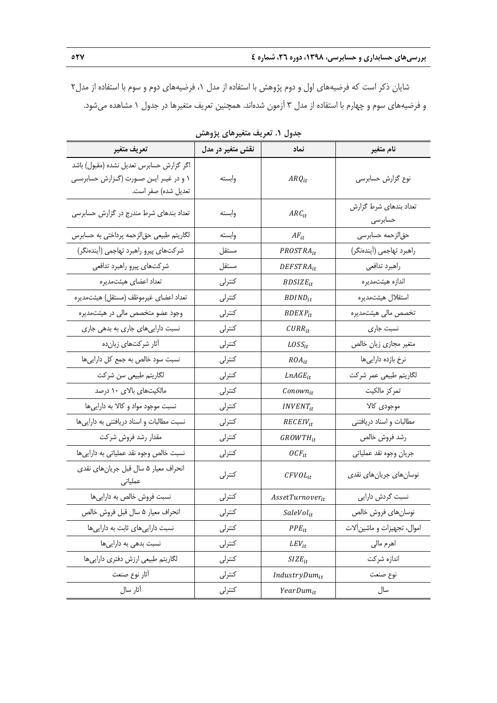شايان ذكر است كه فرضيههاي اول و دوم پژوهش با استفاده از مدل ،1 فرضيههاي دوم و سوم با استفاده از مدل2 و فرضيههاي سوم و چهارم با استفاده از مدل 3 آزمون شدهاند. همچنين تعريف متغيرها در جدول 1 مشاهده ميشود.

| تعريف متغير                                                                                                | نقش متغیر در مدل | نماد                        | نام متغير                         |
|------------------------------------------------------------------------------------------------------------|------------------|-----------------------------|-----------------------------------|
| اگر گزارش حسابرس تعدیل نشده (مقبول) باشد<br>۱ و در غیـر ایـن صـورت (گـزارش حسابرسـی<br>تعدیل شده) صفر است. | وابسته           | $ARQ_{it}$                  | نوع گزارش حسابرسی                 |
| تعداد بندهای شرط مندرج در گزارش حسابرسی                                                                    | وابسته           | $ARC_{it}$                  | تعداد بندهای شرط گزارش<br>حسابرسى |
| لگاریتم طبیعی حقالزحمه پرداختی به حسابرس                                                                   | وابسته           | $AF_{it}$                   | حق لزحمه حسابرسي                  |
| شركتهاى پيرو راهبرد تهاجمي (آيندهنگر)                                                                      | مستقل            | PROSTRA <sub>it</sub>       | راهبرد تهاجمي (أيندهنگر)          |
| شركتهاي پيرو راهبرد تدافعي                                                                                 | مستقل            | $DEFSTRA_{it}$              | راهبرد تدافعي                     |
| تعداد اعضاي هيئتمديره                                                                                      | كنترلى           | $BDSIZE_{it}$               | اندازه هيئتمديره                  |
| تعداد اعضاي غيرموظف (مستقل) هيئتمديره                                                                      | كنترلى           | $BDIND_{it}$                | استقلال هيئتمديره                 |
| وجود عضو متخصص مالی در هیئتمدیره                                                                           | كنترلى           | $BDEXP_{it}$                | تخصص مالی هیئتمدیره               |
| نسبت داراییهای جاری به بدهی جاری                                                                           | كنترلى           | $CURR_{it}$                 | نسبت جاری                         |
| أثار شركتهاى زيانده                                                                                        | كنترلى           | $Loss_{it}$                 | متغیر مجازی زیان خالص             |
| نسبت سود خالص به جمع كل دارايي ها                                                                          | كنترلى           | $ROA_{it}$                  | نرخ بازده داراییها                |
| لگاريتم طبيعي سن شركت                                                                                      | كنترلى           | $LnAGE_{it}$                | لگاريتم طبيعي عمر شركت            |
| مالکیتهای بالای ۱۰ درصد                                                                                    | كنترلى           | Conown <sub>it</sub>        | تمركز مالكيت                      |
| نسبت موجود مواد و کالا به داراییها                                                                         | كنترلى           | <i>INVENT<sub>it</sub></i>  | موجودى كالا                       |
| نسبت مطالبات و اسناد دریافتنی به داراییها                                                                  | كنترلى           | $RECEIV_{it}$               | مطالبات و اسناد دریافتنی          |
| مقدار رشد فروش شركت                                                                                        | كنترلى           | GROWTH <sub>it</sub>        | رشد فروش خالص                     |
| نسبت خالص وجوه نقد عملياتي به داراييها                                                                     | كنترلى           | $OCF_{it}$                  | جريان وجوه نقد عملياتي            |
| انحراف معیار ۵ سال قبل جریانهای نقدی<br>عملیاتی                                                            | كنترلى           | $CFVOL_{it}$                | نوسان های جریان های نقدی          |
| نسبت فروش خالص به داراییها                                                                                 | كنترلى           | AssetTurnover <sub>it</sub> | نسبت گردش دارایی                  |
| انحراف معيار ۵ سال قبل فروش خالص                                                                           | كنترلى           | $SaleVol_{it}$              | نوسان های فروش خالص               |
| نسبت داراییهای ثابت به داراییها                                                                            | كنترلى           | $PPE_{it}$                  | اموال، تجهيزات و ماشين آلات       |
| نسبت بدهی به داراییها                                                                                      | كنترلى           | $LEV_{it}$                  | اهرم مالي                         |
| لگاريتم طبيعي ارزش دفتري دارايي ها                                                                         | كنترلى           | $SIZE_{it}$                 | اندازه شركت                       |
| أثار نوع صنعت                                                                                              | كنترلى           | $IndustryDum_{it}$          | نوع صنعت                          |
| آثار سال                                                                                                   | كنترلى           | $YearDum_{it}$              | سال                               |

**جدول .1 تعريف متغيرهاي پژوهش**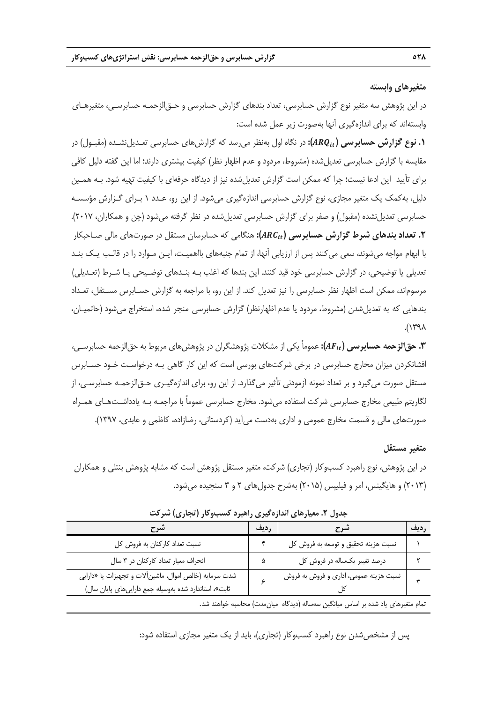#### **متغيرهاي وابسته**

در اين پژوهش سه متغير نوع گزارش حسابرسي، تعداد بندهاي گزارش حسابرسي و حـقالزحمـه حسابرسـي، متغيرهـاي وابستهاند كه براي اندازهگيري آنها بهصورت زير عمل شده است:

**.1 نوع گزارش حسابرسي (**࢚ࡽࡾ**):** در نگاه اول بهنظر ميرسد كه گزارشهاي حسابرسي تعـديلنشـده (مقبـول) در مقايسه با گزارش حسابرسي تعديلشده (مشروط، مردود و عدم اظهار نظر) كيفيت بيشتري دارند؛ اما اين گفته دليل كافي براي تأييد اين ادعا نيست؛ چرا كه ممكن است گزارش تعديلشده نيز از ديدگاه حرفهاي با كيفيت تهيه شود. بـه همـين دليل، بهكمك يك متغير مجازي، نوع گزارش حسابرسي اندازهگيري ميشود. از اين رو، عـدد 1 بـراي گـزارش مؤسسـه حسابرسي تعديل نشده (مقبول) و صفر براي گزارش حسابرسي تعديل شده در نظر گرفته مي شود (چن و همكاران، ۲۰۱۷). **.2 تعداد بندهاي شرط گزارش حسابرسي (**࢚ࡾ**):** هنگامي كه حسابرسان مستقل در صورتهاي مالي صـاحبكار با ابهام مواجه ميشوند، سعي ميكنند پس از ارزيابي آنها، از تمام جنبههاي بااهميـت، ايـن مـوارد را در قالـب يـك بنـد تعديلي يا توضيحي، در گزارش حسابرسي خود قيد كنند. اين بندها كه اغلب بـه بنـدهاي توضـيحي يـا شـرط (تعـديلي) مرسوماند، ممكن است اظهار نظر حسابرسي را نيز تعديل كند. از اين رو، با مراجعه به گزارش حسـابرس مسـتقل، تعـداد بندهايي كه به تعديلشدن (مشروط، مردود يا عدم اظهارنظر) گزارش حسابرسي منجر شده، استخراج ميشود (حاتميـان،  $\Lambda$  $P^{\ast}$ 

**.3 حقالزحمه حسابرسي (**࢚ࡲ**):** عموماً يكي از مشكلات پژوهشگران در پژوهشهاي مربوط به حقالزحمه حسابرسـي، افشانكردن ميزان مخارج حسابرسي در برخي شركتهاي بورسي است كه اين كار گاهي بـه درخواسـت خـود حسـابرس مستقل صورت ميگيرد و بر تعداد نمونه آزمودني تأثير ميگذارد. از اين رو، براي اندازهگيـري حـقالزحمـه حسابرسـي، از لگاريتم طبيعي مخارج حسابرسي شركت استفاده ميشود. مخارج حسابرسي عموماً با مراجعـه بـه يادداشـتهـاي همـراه صورتهاي مالي و قسمت مخارج عمومي و اداري بهدست ميآيد (كردستاني، رضازاده، كاظمي و عابدي، 1397).

#### **متغير مستقل**

در اين پژوهش، نوع راهبرد كسبوكار (تجاري) شركت، متغير مستقل پژوهش است كه مشابه پژوهش بنتلي و همكاران (2013) و هايگينس، امر و فيليپس (2015) بهشرح جدولهاي 2 و 3 سنجيده ميشود.

| تسرح                                                                                                             | رديف | شرح                                                                             | رديف |
|------------------------------------------------------------------------------------------------------------------|------|---------------------------------------------------------------------------------|------|
| نسبت تعداد كاركنان به فروش كل                                                                                    |      | نسبت هزينه تحقيق و توسعه به فروش كل                                             |      |
| انحراف معیار تعداد کارکنان در ۳ سال                                                                              | ۵    | درصد تغییر یکساله در فروش کل                                                    |      |
| شدت سرمایه (خالص اموال، ماشین آلات و تجهیزات یا «دارایی<br>ثابت»، استاندارد شده بهوسیله جمع داراییهای پایان سال) |      | نسبت هزینه عمومی، اداری و فروش به فروش                                          |      |
|                                                                                                                  |      | تمام متغیرهای یاد شده بر اساس میانگین سهساله (دیدگاه میانمدت) محاسبه خواهند شد. |      |

**جدول .2 معيارهاي اندازهگيري راهبرد كسبوكار (تجاري) شركت** 

پس از مشخصشدن نوع راهبرد كسبوكار (تجاري)، بايد از يك متغير مجازي استفاده شود: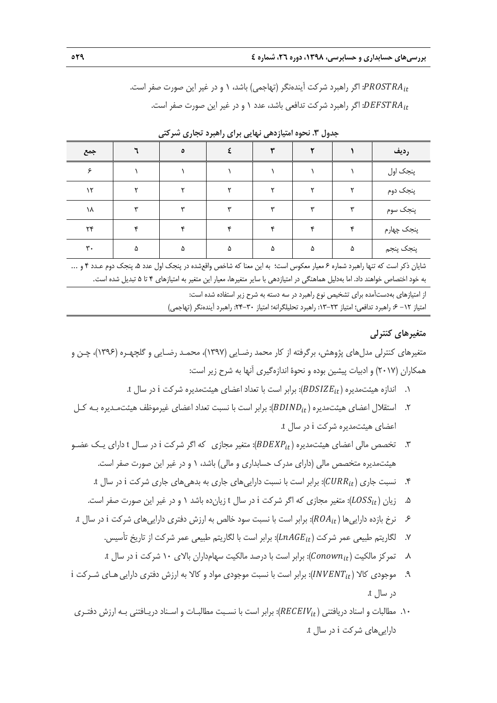: اگر راهبرد شركت آيندهنگر (تهاجمي) باشد، ١ و در غير اين صورت صفر است. $PROSTRA_{it}$ : اگر راهبرد شركت تدافعي باشد، عدد ١ و در غير اين صورت صفر است.  $DEFSTRA_{it}$ 

| جمع                    |    | ٥ |   |    |        |   | رديف       |
|------------------------|----|---|---|----|--------|---|------------|
| c                      |    |   |   |    |        |   | پنجک اول   |
| $\mathcal{N}$          |    |   |   |    |        |   | پنجک دوم   |
| ١٨                     | س  |   | س | w  | س      |   | پنجک سوم   |
| $\mathsf{Y}\mathsf{Y}$ | ٠c |   |   | s. | $\sim$ |   | پنجک چهارم |
| $\mathbf{r}$ .         | ۵  | ۵ | ۵ | ۵  | ۵      | ۵ | پنجک پنجم  |

**جدول .3 نحوه امتيازدهي نهايي براي راهبرد تجاري شركتي** 

شايان ذكر است كه تنها راهبرد شماره 6 معيار معكوس است؛ به اين معنا كه شاخص واقعشده در پنجك اول عدد ،5 پنجك دوم عـدد 4 و ... به خود اختصاص خواهند داد. اما بهدليل هماهنگي در امتيازدهي با ساير متغيرها، معيار اين متغير به امتيازهاي 4 تا 5 تبديل شده است.

> از امتيازهاي بهدستآمده براي تشخيص نوع راهبرد در سه دسته به شرح زير استفاده شده است: امتياز ١٢- ع: راهبرد تدافعي؛ امتياز ٢٣-١٣: راهبرد تحليلگرانه؛ امتياز ٣٠-٢۴: راهبرد آيندهنگر (تهاجمي)

#### **متغيرهاي كنترلي**

متغيرهاي كنترلي مدلهاي پژوهش، برگرفته از كار محمد رضـايي (1397)، محمـد رضـايي و گلچهـره (1396)، چـن و همكاران (2017) و ادبيات پيشين بوده و نحوة اندازهگيري آنها به شرح زير است:

- .1 اندازه هيئتمديره ( $BDSIZE_{it}$ ): برابر است با تعداد اعضاي هيئتمديره شركت i در سال t.
- .2 استقلال اعضاي هيئتمديره (BDIND<sub>it</sub>): برابر است با نسبت تعداد اعضاي غيرموظف هيئتمـديره بـه كـل اعضاي هيئتمديره شركت i در سال t.
- .3 تخصص مالي اعضاي هيئتمديره ( $BDEXP_{it}$ ): متغير مجازي كه اگر شركت i در سـال t داراي يـك عضـو هيئتمديره متخصص مالي (داراي مدرك حسابداري و مالي) باشد، 1 و در غير اين صورت صفر است.
	- .4 نسبت جاري (௧ܷܴܴܥ): برابر است با نسبت داراييهاي جاري به بدهيهاي جاري شركت i در سال t.
	- .5 ذيان (LOSS<sub>it</sub>): متغير مجازي كه اگر شركت i در سال t زيان ده باشد ١ و در غير اين صورت صفر است.
- .6 نرخ بازده داراييها (௧ܣܴܱ): برابر است با نسبت سود خالص به ارزش دفتري داراييهاي شركت i در سال t.
	- .7 لگاريتم طبيعي عمر شركت (௧ܧܩܣ݊ܮ): برابر است با لگاريتم طبيعي عمر شركت از تاريخ تأسيس.
	- .8 تمركز مالكيت (௧݊ݓ݊ܥ): برابر است با درصد مالكيت سهامداران بالاي 10 شركت i در سال t.
- i. موجودي كالا ( $INVENT_{it}$ ): برابر است با نسبت موجودي مواد و كالا به ارزش دفتري دارايي هـاي شـركت i در سال t.
- .10 مطالبات و اسناد دريافتني (௧ܸܫܧܥܧܴ): برابر است با نسـبت مطالبـات و اسـناد دريـافتني بـه ارزش دفتـري داراييهاي شركت i در سال t.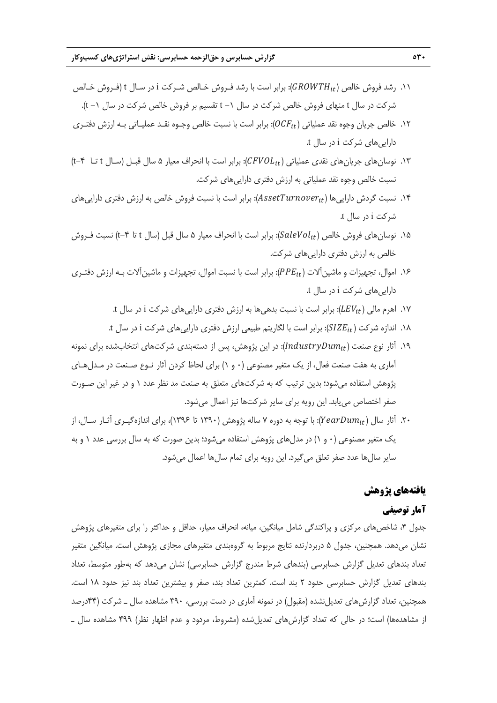- د.11 رشد فروش خالص ( $GROWTH_{it}$ ): برابر است با رشد فـروش خـالص شـركت i در سـال t (فـروش خـالص m شركت در سال t منهاي فروش خالص شركت در سال -1 t تقسيم بر فروش خالص شركت در سال -1 t(.
- .11 خالص جريان وجوه نقد عملياتي  $(OCF_{it})$ : برابر است با نسبت خالص وجـوه نقـد عمليـاتي بـه ارزش دفتـري داراييهاي شركت i در سال t.
- ۱۳. نوسان هاي جريان هاي نقدي عملياتي (£CFVOL): برابر است با انحراف معيار ۵ سال قبـل (سـال t تـا f−۴) نسبت خالص وجوه نقد عملياتي به ارزش دفتري داراييهاي شركت.
- ا. نسبت گردش دارايي ها  $(AssetTurnover_{it})$ : برابر است با نسبت فروش خالص به ارزش دفتري دارايي هاي شركت i در سال t.
- ۱۵. نوسانهای فروش خالص ( $\emph{Sal}eVol_{it}$ ): برابر است با انحراف معيار ۵ سال قبل (سال t تا ۴−t) نسبت فـروش خالص به ارزش دفتري داراييهاي شركت.
- ۱۶. اموال، تجهيزات و ماشين آلات (PPEit): برابر است با نسبت اموال، تجهيزات و ماشين آلات بـه ارزش دفتـري داراييهاي شركت i در سال t.
	- .17 اهرم مالي (௧ܸܧܮ): برابر است با نسبت بدهيها به ارزش دفتري داراييهاي شركت i در سال t.
	- .18 اندازه شركت (௧ܧܼܫܵ): برابر است با لگاريتم طبيعي ارزش دفتري داراييهاي شركت i در سال t.
- ۱۹. آثار نوع صنعت ( $IndustryDum_{it}$ ): در اين پژوهش، پس از دستهبندي شركتهاي انتخابشده براي نمونه آماري به هفت صنعت فعال، از يك متغير مصنوعي (0 و 1) براي لحاظ كردن آثار نـوع صـنعت در مـدلهـاي پژوهش استفاده ميشود؛ بدين ترتيب كه به شركتهاي متعلق به صنعت مد نظر عدد 1 و در غير اين صـورت صفر اختصاص مييابد. اين رويه براي ساير شركتها نيز اعمال ميشود.
- .7. آثار سال (KearDum $i_t$ ): با توجه به دوره ۷ ساله پژوهش (۱۳۹۰ تا ۱۳۹۶)، براي اندازهگيـري آثـار سـال، از يك متغير مصنوعي (0 و 1) در مدلهاي پژوهش استفاده ميشود؛ بدين صورت كه به سال بررسي عدد 1 و به ساير سالها عدد صفر تعلق ميگيرد. اين رويه براي تمام سالها اعمال ميشود.

## **يافتههاي پژوهش**

## **آمار توصيفي**

جدول ۴، شاخصهاي مركزي و پراكندگي شامل ميانگين، ميانه، انحراف معيار، حداقل و حداكثر را براي متغيرهاي پژوهش نشان ميدهد. همچنين، جدول 5 دربردارنده نتايج مربوط به گروهبندي متغيرهاي مجازي پژوهش است. ميانگين متغير تعداد بندهاي تعديل گزارش حسابرسي (بندهاي شرط مندرج گزارش حسابرسي) نشان ميدهد كه بهطور متوسط، تعداد بندهاي تعديل گزارش حسابرسي حدود 2 بند است. كمترين تعداد بند، صفر و بيشترين تعداد بند نيز حدود 18 است. همچنين، تعداد گزارشهاي تعديلنشده (مقبول) در نمونه آماري در دست بررسي، 390 مشاهده سال ـ شركت (44درصد از مشاهدهها) است؛ در حالي كه تعداد گزارشهاي تعديلشده (مشروط، مردود و عدم اظهار نظر) 499 مشاهده سال ـ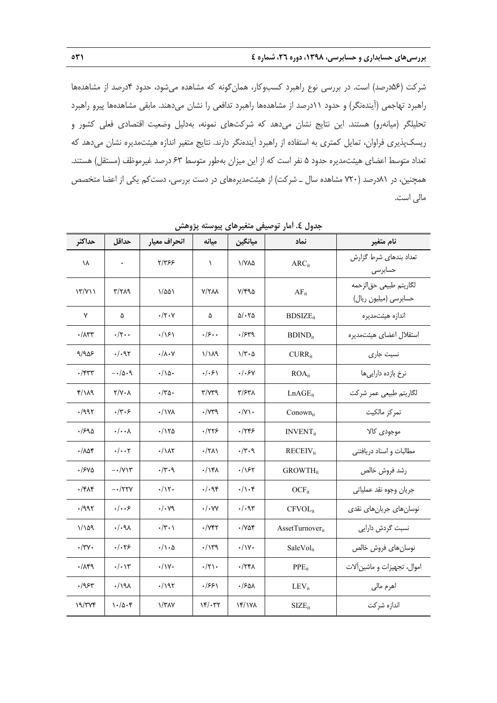شركت (56درصد) است. در بررسي نوع راهبرد كسبوكار، همانگونه كه مشاهده ميشود، حدود 4درصد از مشاهدهها راهبرد تهاجمي (آيندهنگر) و حدود 11درصد از مشاهدهها راهبرد تدافعي را نشان ميدهند. مابقي مشاهدهها پيرو راهبرد تحليلگر (ميانهرو) هستند. اين نتايج نشان ميدهد كه شركتهاي نمونه، بهدليل وضعيت اقتصادي فعلي كشور و ريسكپذيري فراوان، تمايل كمتري به استفاده از راهبرد آيندهنگر دارند. نتايج متغير اندازه هيئتمديره نشان ميدهد كه تعداد متوسط اعضاي هيئتمديره حدود 5 نفر است كه از اين ميزان بهطور متوسط 63 درصد غيرموظف (مستقل) هستند. همچنين، در 81درصد (720 مشاهده سال ـ شركت) از هيئتمديرههاي در دست بررسي، دستكم يكي از اعضا متخصص مالي است.

| حداكثر                       | حداقل                        | انحراف معيار            | ميانه                             | ميانگين                  | نماد                        | نام متغير                                       |
|------------------------------|------------------------------|-------------------------|-----------------------------------|--------------------------|-----------------------------|-------------------------------------------------|
| ١٨                           |                              | 7/٣۶۶                   | $\lambda$                         | ۱/۷۸۵                    | ARC <sub>it</sub>           | تعداد بندهای شرط گزارش<br>حسابرسى               |
| $\binom{17}{11}$             | ۳/۲۸۹                        | ۱/۵۵۱                   | <b>Y/TAA</b>                      | ۲/۴۹۵                    | $AF_{it}$                   | لگاريتم طبيعي حق لزحمه<br>حسابرسی (میلیون ریال) |
| ٧                            | ۵                            | $\cdot/\tau\cdot\gamma$ | ۵                                 | $\Delta/\cdot\tau\Delta$ | $BDSIZE_{it}$               | اندازه هیئتمدیره                                |
| $\cdot/\Lambda$ ۳۳           | $\cdot/\tau \cdot \cdot$     | $\cdot/\sqrt{2}$        | .15                               | .7549                    | $BDIND_{it}$                | استقلال اعضا <i>ی</i> هیئتمدیره                 |
| ۹/۹۵۶                        | . / .97                      | $\cdot/\lambda\cdot$ Y  | $1/\lambda$ ۹                     | $1/\tau \cdot \Delta$    | $CURR_{it}$                 | نسبت جارى                                       |
| $\cdot$ /۴۳۳                 | $-\cdot/\Delta \cdot \theta$ | ۱۵۰/۰                   | . / . 5)                          | ۰/۰۶۷                    | $ROA_{it}$                  | نرخ بازده دارایی ها                             |
| ۴/۱۸۹                        | $Y/Y \cdot \Lambda$          | $\cdot$ /۳۵۰            | $\mathbf{r}/\mathbf{v}$           | ۳/۶۳۸                    | $LnAGE_{it}$                | لگاريتم طبيعي عمر شركت                          |
| .7997                        | .77.5                        | $\cdot$ / ۱۷۸           | $\cdot$ / $\vee$ ۳۹               | $\cdot$ /Y\ $\cdot$      | Conownit                    | تمركز مالكيت                                    |
| ۹۵-۱۶                        | $\cdot/\cdot\cdot$           | ۱۲۵/۰                   | ۰/۲۲۶                             | ۰/۲۴۶                    | <b>INVENT</b> <sub>it</sub> | موجودي كالا                                     |
| $\cdot$ / $\wedge$ $\wedge$  | $\cdot/\cdot\cdot$           | $\cdot/\lambda\tau$     | $\cdot$ /۲۸۱                      | $\cdot/\tau \cdot$ ٩     | $RECEIV_{it}$               | مطالبات و اسناد دریافتنی                        |
| $\cdot$ / $540$              | $-\cdot/\gamma\gamma$        | .77.9                   | $\cdot$ /۱۴۸                      | ۶۲/۰                     | <b>GROWTH</b> <sub>it</sub> | رشد فروش خالص                                   |
| $\cdot$ /۴۸۴                 | $-$ /۲۲۷                     | $\cdot/\gamma$ .        | $\cdot/\cdot$ 94                  | $\cdot/\cdot$ ۴          | $OCF_{it}$                  | جريان وجوه نقد عملياتي                          |
| .7997                        | .  . .5                      | $\cdot/\cdot$ yq        | $\cdot/\cdot$ YY                  | $\cdot/\cdot$ 95         | $CFVOL_{it}$                | نوسان های جریان های نقدی                        |
| 1/109                        | . / . q                      | $\cdot/\tau \cdot \chi$ | $\cdot$ / $\gamma$ ۴۲             | ۷۵۴.                     | AssetTurnover <sub>it</sub> | نسبت گردش دارایی                                |
| $\cdot$ /۳ $\mathsf{v}\cdot$ | .1.79                        | ۰/۱۰۵                   | .714                              | $\cdot/\gamma$           | SaleVol <sub>it</sub>       | نوسان هاى فروش خالص                             |
| .719                         | $\cdot/\cdot$ \r             | $\cdot/\gamma$          | $\cdot/\tau$ .                    | ۰/۲۴۸                    | $PPE_{it}$                  | اموال، تجهیزات و ماشینآلات                      |
| ۶۳-۱۹۶۳                      | $\cdot$ /191                 | ۰/۱۹۲                   | ۱۶۶۱.                             | ۰/۶۵۸                    | $LEV_{it}$                  | اهرم مالي                                       |
| 19/777                       | $\cdot$ /0.4                 | $\frac{1}{4}$           | $\mathcal{N}(\cdot, \mathcal{R})$ | $Yf/Y\lambda$            | $SIZE_{it}$                 | اندازه شركت                                     |

**جدول .4 آمار توصيفي متغيرهاي پيوسته پژوهش**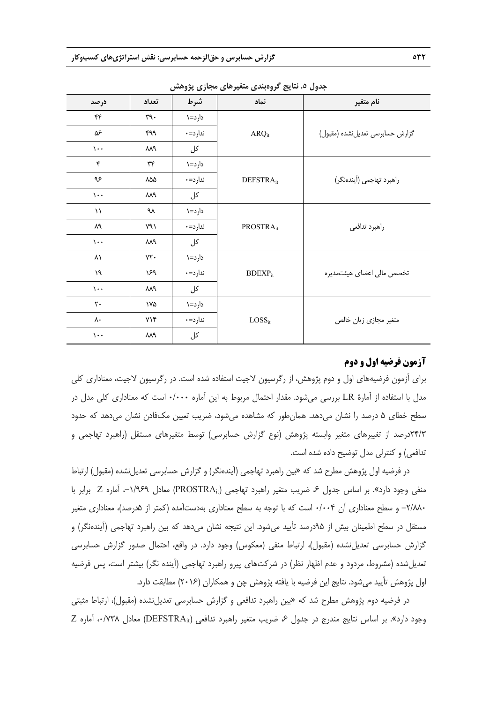|                 |              | $\lambda \lambda$ , $\lambda \lambda$ | — — — — —             |                                  |
|-----------------|--------------|---------------------------------------|-----------------------|----------------------------------|
| درصد            | تعداد        | شرط                                   | نماد                  | نام متغير                        |
| ۴۴              | $\eta \cdot$ | دارد=۱                                |                       |                                  |
| ۵۶              | ۴۹۹          | ندارد=٠                               | $ARQ_{it}$            | گزارش حسابرسی تعدیل نشده (مقبول) |
| $\mathcal{L}$ . | M٩           | کل                                    |                       |                                  |
| ۴               | ٣۴           | دارد=۱                                |                       |                                  |
| ۹۶              | ٨۵۵          | ندارد=٠                               | DEFSTRA <sub>it</sub> | راهبرد تهاجمي (آيندهنگر)         |
| $\mathcal{L}$ . | ٨٨٩          | کل                                    |                       |                                  |
| $\mathcal{U}$   | ٩λ           | دارد=۱                                |                       |                                  |
| ٨٩              | ۷۹۱          | ندارد=٠                               | PROSTRA <sub>it</sub> | راهبرد تدافعي                    |
| $\mathcal{L}$ . | ٨٨٩          | کل                                    |                       |                                  |
| ۸۱              | YY           | دارد=۱                                |                       |                                  |
| ١٩              | ۱۶۹          | ندارد=٠                               | $BDEXP_{it}$          | تخصص مالی اعضای هیئتمدیره        |
| $\mathcal{L}$ . | ٨٨٩          | کل                                    |                       |                                  |
| $\mathsf{r}$ .  | ۱۷۵          | دارد=۱                                |                       |                                  |
| ۸۰              | YY           | ندارد=٠                               | $LOSS_{it}$           | متغير مجازى زيان خالص            |
| $\mathcal{L}$ . | ٨٨٩          | کل                                    |                       |                                  |

**جدول .5 نتايج گروهبندي متغيرهاي مجازي پژوهش** 

# **آزمون فرضيه اول و دوم**

براي آزمون فرضيههاي اول و دوم پژوهش، از رگرسيون لاجيت استفاده شده است. در رگرسيون لاجيت، معناداري كلي مدل با استفاده از آمارة LR بررسي ميشود. مقدار احتمال مربوط به اين آماره 0/000 است كه معناداري كلي مدل در سطح خطاي ۵ درصد را نشان مي(دهد. همان طور كه مشاهده مي شود، ضريب تعيين مكفادن نشان مي(دهد كه حدود 24/3درصد از تغييرهاي متغير وابسته پژوهش (نوع گزارش حسابرسي) توسط متغيرهاي مستقل (راهبرد تهاجمي و تدافعي) و كنترلي مدل توضيح داده شده است.

در فرضيه اول پژوهش مطرح شد كه «بين راهبرد تهاجمي (آيندهنگر) و گزارش حسابرسي تعديلنشده (مقبول) ارتباط منفي وجود دارد». بر اساس جدول ۶، ضريب متغير راهبرد تهاجمي (PROSTRA<sub>it</sub>) معادل ١/٩۶۹-، آماره Z برابر با -2/880 و سطح معناداري آن 0/004 است كه با توجه به سطح معناداري بهدستآمده (كمتر از 5درصد)، معناداري متغير مستقل در سطح اطمينان بيش از 95درصد تأييد ميشود. اين نتيجه نشان ميدهد كه بين راهبرد تهاجمي (آيندهنگر) و گزارش حسابرسي تعديلنشده (مقبول)، ارتباط منفي (معكوس) وجود دارد. در واقع، احتمال صدور گزارش حسابرسي تعديلشده (مشروط، مردود و عدم اظهار نظر) در شركتهاي پيرو راهبرد تهاجمي (آينده نگر) بيشتر است، پس فرضيه اول پژوهش تأييد ميشود. نتايج اين فرضيه با يافته پژوهش چن و همكاران (2016) مطابقت دارد.

در فرضيه دوم پژوهش مطرح شد كه «بين راهبرد تدافعي و گزارش حسابرسي تعديلنشده (مقبول)، ارتباط مثبتي  $Z$  وجود دارد». بر اساس نتايج مندرج در جدول ۶، ضريب متغير راهبرد تدافعي (DEFSTRA<sub>it</sub>) معادل ۰٬۷۳۸ آماره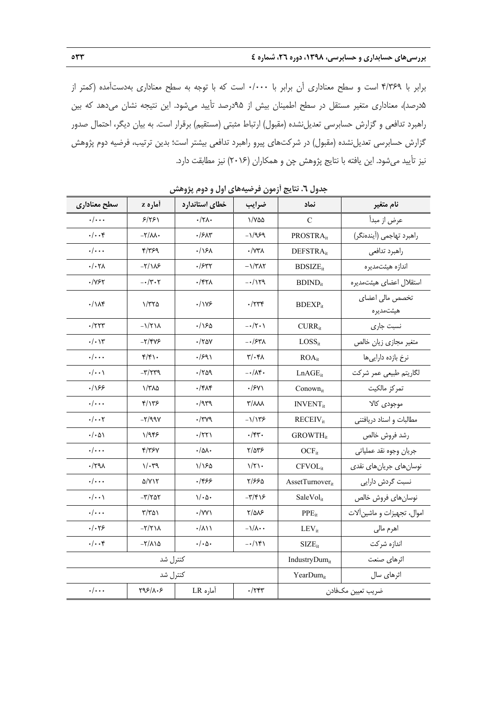برابر با 4/369 است و سطح معناداري آن برابر با 0/000 است كه با توجه به سطح معناداري بهدستآمده (كمتر از 5درصد)، معناداري متغير مستقل در سطح اطمينان بيش از 95درصد تأييد ميشود. اين نتيجه نشان ميدهد كه بين راهبرد تدافعي و گزارش حسابرسي تعديلنشده (مقبول) ارتباط مثبتي (مستقيم) برقرار است. به بيان ديگر، احتمال صدور گزارش حسابرسي تعديلنشده (مقبول) در شركتهاي پيرو راهبرد تدافعي بيشتر است؛ بدين ترتيب، فرضيه دوم پژوهش نيز تأييد ميشود. اين يافته با نتايج پژوهش چن و همكاران (2016) نيز مطابقت دارد.

| جنون ۰. تنایج ارتلون کرکسیههای اون و تاوم پروسس                   |                             |                                 |                                 |                             |                              |  |  |  |
|-------------------------------------------------------------------|-----------------------------|---------------------------------|---------------------------------|-----------------------------|------------------------------|--|--|--|
| سطح معنادارى                                                      | أماره z                     | خطاي استاندارد                  | ضرايب                           | نماد                        | نام متغير                    |  |  |  |
| $\cdot/\cdot\cdot$                                                | 5/551                       | $\cdot/\tau\Lambda$ .           | ۱/۷۵۵                           | C                           | عرض از مبدأ                  |  |  |  |
| $\cdot/\cdot\cdot$ ۴                                              | $-\nabla/\Lambda\Lambda$    | $\cdot$ /۶۸۳                    | -1/989                          | PROSTRA <sub>it</sub>       | راهبرد تهاجمي (آيندهنگر)     |  |  |  |
| $\cdot/\cdot\cdot$                                                | ۴/۳۶۹                       | .15A                            | $\cdot$ / $\gamma\gamma\lambda$ | DEFSTRA <sub>it</sub>       | راهبرد تدافعي                |  |  |  |
| $\cdot/\cdot\tau$                                                 | $-\frac{1}{\sqrt{2}}$       | $\cdot$ /۶۳۲                    | $-\frac{1}{\pi\lambda\tau}$     | <b>BDSIZE</b> <sub>it</sub> | اندازه هيئتمديره             |  |  |  |
| 7۶۲/۰                                                             | $-\cdot/7 \cdot 7$          | ۰/۴۲۸                           | -01179                          | $BDIND_{it}$                | استقلال اعضاى هيئتمديره      |  |  |  |
| $\cdot/\lambda$ ۴                                                 | 1/770                       | $\cdot$ /178                    | ۰/۲۳۴                           | $BDEXP_{it}$                | تخصص مالی اعضای<br>هيئتمديره |  |  |  |
| $\cdot$ /۲۲۳                                                      | $-\frac{1}{\sqrt{1}}$       | ۱۶۵.                            | $-\cdot/\tau\cdot$              | $CURR_{it}$                 | نسبت جارى                    |  |  |  |
| $\cdot/\cdot\vee\tilde{\ }$                                       | $-Y$ /۴۷۶                   | $\cdot$ /۲۵۷                    | -0/۶۳۸                          | $LOSS_{it}$                 | متغير مجازى زيان خالص        |  |  |  |
| $\cdot/\cdot\cdot$                                                | $f/f \rightarrow$           | .791                            | $\mathbf{r}/\cdot\mathbf{r}$    | $ROA_{it}$                  | نرخ بازده دارایی ها          |  |  |  |
| $\cdot/\cdot\cdot$                                                | $-\mathsf{r}/\mathsf{r}$    | $\cdot$ /۲۵۹                    | $-\cdot/\lambda$ ۴۰             | $LnAGE_{it}$                | لگاريتم طبيعي عمر شركت       |  |  |  |
| .185                                                              | ۱/۳۸۵                       | $\cdot$ /۴۸۴                    | $\cdot$ /۶۷۱                    | Conownit                    | تمركز مالكيت                 |  |  |  |
| $\cdot/\cdot\cdot$                                                | ۴/۱۳۶                       | $\cdot$ /959                    | <b>T/AAA</b>                    | <b>INVENT</b> <sub>it</sub> | موجودي كالا                  |  |  |  |
| $\cdot/\cdot\cdot\tau$                                            | $-\tau$ /99 $\gamma$        | $\cdot$ /۳۷۹                    | -1/1۳۶                          | $RECEIV_{it}$               | مطالبات و اسناد دریافتنی     |  |  |  |
| $\cdot/\cdot\Delta$                                               | 1/948                       | $\cdot$ /٢٢١                    | $\cdot$ /۴۳.                    | <b>GROWTH</b> <sub>it</sub> | رشد فروش خالص                |  |  |  |
| $\cdot/\cdot\cdot$                                                | 4/۳۶۷                       | $\cdot/\Delta\lambda$           | ۳/۵۳۶                           | $OCF_{it}$                  | جريان وجوه نقد عملياتي       |  |  |  |
| $\cdot$ /۲۹ $\lambda$                                             | $\gamma/\cdot$ ۳۹           | ۱/۱۶۵                           | $1/\tau$                        | $CFVOL_{it}$                | نوسانهای جریانهای نقدی       |  |  |  |
| $\cdot/\cdot\cdot$                                                | <b>D/VIT</b>                | .1955                           | ۲/۶۶۵                           | AssetTurnover <sub>it</sub> | نسبت گردش دارایی             |  |  |  |
| $\cdot/\cdot\cdot$                                                | $-\mathsf{r}/\mathsf{r}$ ar | $1/\cdot \Delta$                | -۳/۴۱۶                          | SaleVol <sub>it</sub>       | نوسان هاى فروش خالص          |  |  |  |
| $\cdot/\cdot\cdot$                                                | $\frac{1}{2}$               | $\cdot$ /YY $\wedge$            | ۲/۵۸۶                           | $PPE_{it}$                  | اموال، تجهيزات و ماشين آلات  |  |  |  |
| $\cdot/\cdot$ ۲۶                                                  | $-\gamma/\gamma\lambda$     | $\cdot/\lambda\setminus\lambda$ | $-\frac{1}{\Lambda}$ .          | $LEV_{it}$                  | اهرم مالي                    |  |  |  |
| $\cdot/\cdot\cdot$ ۴                                              | $-\frac{1}{\Lambda}$        | $\cdot/\cdot \Delta \cdot$      | $-1141$                         | $SIZE_{it}$                 | اندازه شركت                  |  |  |  |
|                                                                   | كنترل شد                    |                                 | IndustryDumit                   | اثرهای صنعت                 |                              |  |  |  |
|                                                                   | كنترل شد                    |                                 |                                 | YearDum <sub>it</sub>       | اثرهای سال                   |  |  |  |
| $\cdot/\cdot\cdot$<br>آماره LR<br>$Y95/\lambda.5$<br>$\cdot$ /۲۴۳ |                             |                                 |                                 |                             | ضريب تعيين مكفادن            |  |  |  |

**جدول .6 نتايج آزمون فرضيههاي اول و دوم پژوهش**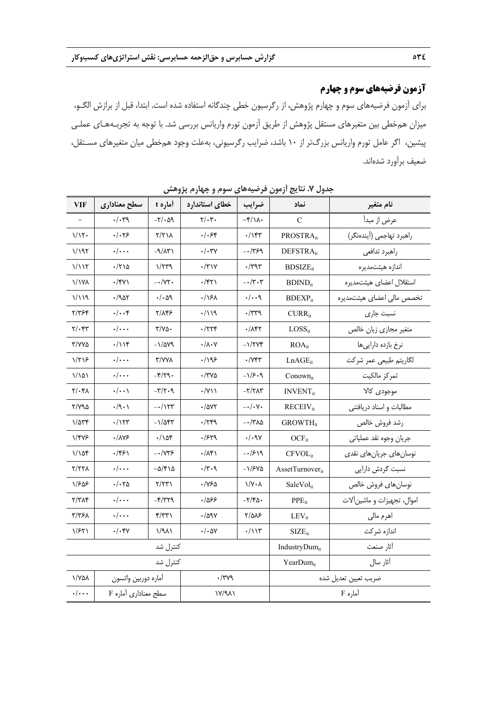# **آزمون فرضيههاي سوم و چهارم**

براي آزمون فرضيههاي سوم و چهارم پژوهش، از رگرسيون خطي چندگانه استفاده شده است. ابتدا، قبل از برازش الگـو، ميزان همخطي بين متغيرهاي مستقل پژوهش از طريق آزمون تورم واريانس بررسي شد. با توجه به تجربـههـاي عملـي پيشين، اگر عامل تورم واريانس بزرگتر از 10 باشد، ضرايب رگرسيوني، بهعلت وجود همخطي ميان متغيرهاي مسـتقل، ضعيف برآورد شدهاند.

| VIF                                               | سطح معناداري                        | أماره t                                    | خطاي استاندارد               | ضرايب                             | نماد                               | نام متغير                   |  |
|---------------------------------------------------|-------------------------------------|--------------------------------------------|------------------------------|-----------------------------------|------------------------------------|-----------------------------|--|
|                                                   | $\cdot/\cdot$ ۳۹                    | $-\mathsf{r}/\cdot\mathsf{a}\mathsf{q}$    | $\mathbf{Y}/\cdot\mathbf{Y}$ | $-\mathfrak{f}/\mathfrak{h}\cdot$ | C                                  | عرض از مبدأ                 |  |
| 1/15                                              | $. -19$                             | ۲/۲۱۸                                      | ۰/۰۶۴                        | $\cdot/\gamma\gamma$              | PROSTRA <sub>it</sub>              | راهبرد تهاجمي (آيندهنگر)    |  |
| 1/197                                             | $\cdot/\cdot\cdot$                  | $-9/\lambda$ ۳۱                            | $\cdot/\cdot$ ۳۷             | $-1799$                           | DEFSTRA <sub>it</sub>              | راهبرد تدافعي               |  |
| 1/117                                             | ۱۲۱۵-                               | $\gamma$                                   | $\cdot$ /۳۱۷                 | $\cdot$ /۳۹۳                      | $BDSIZE_{it}$                      | اندازه هیئتمدیره            |  |
| <b>\/\YA</b>                                      | $\cdot$ /۴۷۱                        | $-\cdot/\gamma\gamma$ .                    | $\cdot$ /۴۲۱                 | $-\cdot/\tau \cdot \tau$          | $BDIND_{it}$                       | استقلال اعضاى هيئتمديره     |  |
| 1/19                                              | $\cdot$ /905                        | ۰/۰۵۹                                      | $\cdot$ /181                 | $\cdot/\cdot\cdot$ ٩              | $BDEXP_{it}$                       | تخصص مالی اعضای هیئتمدیره   |  |
| ۲/۳۶۴                                             | $\cdot/\cdot\cdot$ ۴                | ۲/۸۴۶                                      | $\cdot/\lambda$              | $\cdot$ /۳۳۹                      | $CURR_{it}$                        | نسبت جارى                   |  |
| $\mathbf{Y}/\mathbf{F}$                           | $\cdot/\cdot\cdot$                  | ۳/۷۵۰                                      | $\cdot$ /۲۲۴                 | $\cdot$ / $\wedge$ ۴۲             | $LOSS_{it}$                        | متغير مجازى زيان خالص       |  |
| ۳/۷۷۵                                             | $\cdot/\iota$                       | $-\frac{1}{\Delta V}$                      | $\cdot/\lambda\cdot$ Y       | $-\frac{1}{\sqrt{2}}$             | $ROA_{it}$                         | نرخ بازدہ دارایے ھا         |  |
| ۱/۲۱۶                                             | $\cdot/\cdot\cdot$                  | <b>T/YYA</b>                               | ۱۹۶).                        | $\cdot$ / $\gamma$ ۴۳             | $LnAGE_{it}$                       | لگاريتم طبيعي عمر شركت      |  |
| ۱/۱۵۱                                             | $\cdot/\cdot\cdot$                  | $-\mathfrak{f}/\mathfrak{f}\mathfrak{q}$ . | $\cdot$ /۳۷۵                 | $-\frac{1}{5}$ .9                 | $Conown_{it}$                      | تمركز مالكيت                |  |
| $Y/\cdot Y$                                       | $\cdot/\cdot\cdot$                  | $-\mathbf{r}/\mathbf{r} \cdot \mathbf{q}$  | $\cdot$ /Y))                 | $-\nabla/\nabla\Lambda\nabla$     | <b>INVENT</b> <sub>it</sub>        | موجودي كالا                 |  |
| ۲/۷۹۵                                             | $\cdot$ /9 $\cdot$ )                | $-\cdot/154$                               | ۰/۵۷۲                        | $-\cdot/\cdot \Upsilon$           | $RECEIV_{it}$                      | مطالبات واسناد دريافتني     |  |
| $1/\Delta r f$                                    | $\cdot/\gamma\tau\tau$              | $-\frac{1}{\Delta r}$                      | .779                         | $-$ /۳۸۵                          | <b>GROWTH</b> <sub>it</sub>        | رشد فروش خالص               |  |
| 1/475                                             | ۰/۸۷۶                               | ۱۵۴.                                       | .754                         | $\cdot/\cdot$ 97                  | $OCF_{it}$                         | جريان وجوه نقد عملياتي      |  |
| ۱/۱۵۴                                             | ۱۶۶۱.                               | -•/۷۳۶                                     | $\cdot/\lambda$ ۴۱           | $-1519$                           | $CFVOL_{it}$                       | نوسان های جریان های نقدی    |  |
| ۲/۲۲۸                                             | $\cdot/\cdot\cdot$                  | $-\Delta/\mathfrak{r}\setminus\Delta$      | $\cdot/\tau \cdot$ ٩         | $-\frac{5}{2}$                    | $\text{A}\text{ssetTurnover}_{it}$ | نسبت گردش دارایی            |  |
| ۱/۶۵۶                                             | ۲۰۱۰ .                              | $\gamma/\gamma\gamma$                      | ۳۶۵.                         | $\sqrt{V \cdot \lambda}$          | SaleVol <sub>it</sub>              | نوسان هاى فروش خالص         |  |
| ۲/۳۸۴                                             | $\cdot/\cdot\cdot$                  | $-\mathfrak{f}/\mathfrak{f}$               | ۶۶۶.                         | $-\tau/\tau$ ۵۰                   | $PPE_{it}$                         | اموال، تجهيزات و ماشين آلات |  |
| ۳/۳۶۸                                             | $\cdot/\cdot\cdot$                  | Y/YY                                       | $\cdot$ /09 $\vee$           | $Y/\Delta\lambda$ ۶               | $LEV_{it}$                         | اهرم مالي                   |  |
| 1/۶۲۱                                             | $\cdot/\cdot$ ۴۷                    | $1/9\lambda$                               | $\cdot/\cdot$ ۵۷             | $\cdot/\iota$                     | $SIZE_{it}$                        | اندازه شركت                 |  |
| كنترل شد                                          |                                     |                                            |                              |                                   | IndustryDum <sub>it</sub>          | أثار صنعت                   |  |
|                                                   | كنترل شد                            |                                            |                              |                                   | $YearDum_{it}$                     | أثار سال                    |  |
| ۱/۷۵۸                                             | اماره دوربين واتسون<br>$\cdot$ /۳۷۹ |                                            |                              |                                   | ضريب تعيين تعديل شده               |                             |  |
| $F$ سطح معناداری آماره<br>$\cdot/\cdot\cdot\cdot$ |                                     | ۱۷/۹۸۱                                     |                              | آماره F                           |                                    |                             |  |

**جدول .7 نتايج آزمون فرضيههاي سوم و چهارم پژوهش**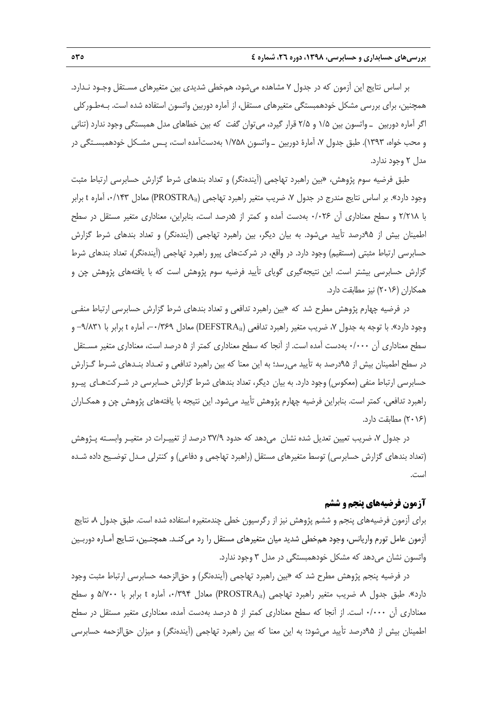بر اساس نتايج اين آزمون كه در جدول 7 مشاهده ميشود، همخطي شديدي بين متغيرهاي مسـتقل وجـود نـدارد. همچنين، براي بررسي مشكل خودهمبستگي متغيرهاي مستقل، از آماره دوربين واتسون استفاده شده است. بـهطـوركلي اگر آماره دوربين ـ واتسون بين 1/5 و 2/5 قرار گيرد، ميتوان گفت كه بين خطاهاي مدل همبستگي وجود ندارد (تناني و محب خواه، 1393). طبق جدول ،7 آمارة دوربين ـ واتسون 1/758 بهدستآمده است، پـس مشـكل خودهمبسـتگي در مدل 2 وجود ندارد.

طبق فرضيه سوم پژوهش، «بين راهبرد تهاجمي (آيندهنگر) و تعداد بندهاي شرط گزارش حسابرسي ارتباط مثبت وجود دارد». بر اساس نتايج مندرج در جدول ۷، ضريب متغير راهبرد تهاجمي (PROSTRA<sub>it</sub>) معادل ۰/۱۴۳ آماره t برابر با 2/218 و سطح معناداري آن 0/026 بهدست آمده و كمتر از 5درصد است، بنابراين، معناداري متغير مستقل در سطح اطمينان بيش از 95درصد تأييد ميشود. به بيان ديگر، بين راهبرد تهاجمي (آيندهنگر) و تعداد بندهاي شرط گزارش حسابرسي ارتباط مثبتي (مستقيم) وجود دارد. در واقع، در شركتهاي پيرو راهبرد تهاجمي (آيندهنگر)، تعداد بندهاي شرط گزارش حسابرسي بيشتر است. اين نتيجهگيري گوياي تأييد فرضيه سوم پژوهش است كه با يافتههاي پژوهش چن و همكاران (2016) نيز مطابقت دارد.

در فرضيه چهارم پژوهش مطرح شد كه «بين راهبرد تدافعي و تعداد بندهاي شرط گزارش حسابرسي ارتباط منفـي وجود دارد». با توجه به جدول ۷، ضريب متغير راهبرد تدافعي (DEFSTRA<sub>it</sub>) معادل ۰-۱٬۳۶۹ آماره t برابر با ۹/۸۳۱- و سطح معناداري آن 0/000 بهدست آمده است. از آنجا كه سطح معناداري كمتر از 5 درصد است، معناداري متغير مسـتقل در سطح اطمينان بيش از 95درصد به تأييد ميرسد؛ به اين معنا كه بين راهبرد تدافعي و تعـداد بنـدهاي شـرط گـزارش حسابرسي ارتباط منفي (معكوس) وجود دارد. به بيان ديگر، تعداد بندهاي شرط گزارش حسابرسي در شـركتهـاي پيـرو راهبرد تدافعي، كمتر است. بنابراين فرضيه چهارم پژوهش تأييد ميشود. اين نتيجه با يافتههاي پژوهش چن و همكـاران (2016) مطابقت دارد.

در جدول ۷، ضريب تعيين تعديل شده نشان ٍ مي<هد كه حدود ٣٧/٩ درصد از تغييـرات در متغيـر وابسـته پـژوهش (تعداد بندهاي گزارش حسابرسي) توسط متغيرهاي مستقل (راهبرد تهاجمي و دفاعي) و كنترلي مـدل توضـيح داده شـده است.

#### **آزمون فرضيههاي پنجم و ششم**

براي آزمون فرضيههاي پنجم و ششم پژوهش نيز از رگرسيون خطي چندمتغيره استفاده شده است. طبق جدول ،8 نتايج آزمون عامل تورم واريانس، وجود همخطي شديد ميان متغيرهاي مستقل را رد ميكنـد. همچنـين، نتـايج آمـاره دوربـين واتسون نشان ميدهد كه مشكل خودهمبستگي در مدل 3 وجود ندارد.

در فرضيه پنجم پژوهش مطرح شد كه «بين راهبرد تهاجمي (آيندهنگر) و حقالزحمه حسابرسي ارتباط مثبت وجود دارد». طبق جدول ۸، ضريب متغير راهبرد تهاجمي (PROSTRA<sub>it</sub>) معادل ۰/۳۹۴، آماره t برابر با ۵/۷۰۰ و سطح معناداري آن 0/000 است. از آنجا كه سطح معناداري كمتر از 5 درصد بهدست آمده، معناداري متغير مستقل در سطح اطمينان بيش از 95درصد تأييد ميشود؛ به اين معنا كه بين راهبرد تهاجمي (آيندهنگر) و ميزان حقالزحمه حسابرسي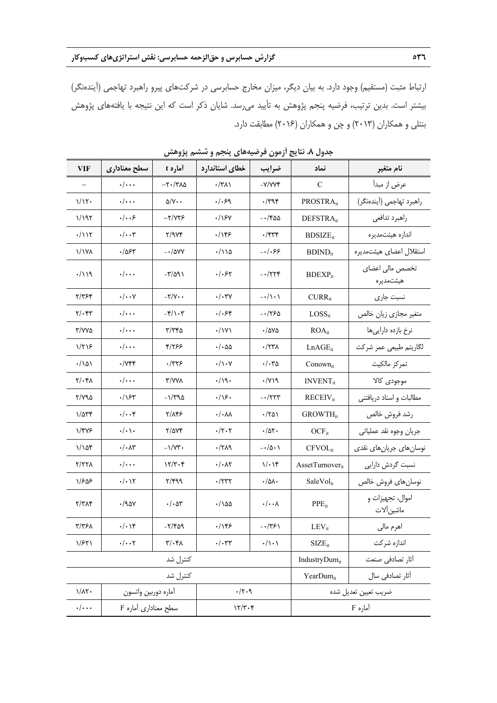ارتباط مثبت (مستقيم) وجود دارد. به بيان ديگر، ميزان مخارج حسابرسي در شركتهاي پيرو راهبرد تهاجمي (آيندهنگر) بيشتر است. بدين ترتيب، فرضيه پنجم پژوهش به تأييد ميرسد. شايان ذكر است كه اين نتيجه با يافتههاي پژوهش بنتلي و همكاران (2013) و چن و همكاران (2016) مطابقت دارد.

| <b>VIF</b>                   | سطح معناداري                  | أماره t                                         | خطاي استاندارد               | ضرايب                               | نماد                               | نام متغير                       |
|------------------------------|-------------------------------|-------------------------------------------------|------------------------------|-------------------------------------|------------------------------------|---------------------------------|
|                              | $\cdot/\cdot\cdot$            | $-\tau$ ./٣٨٥                                   | $\cdot$ /۳۸۱                 | $-Y/VVf$                            | C                                  | عرض از مبدأ                     |
| 1/15                         | $\cdot/\cdot\cdot$            | $\Delta/Y \cdot \cdot$                          | .1.59                        | $\cdot$ /۳۹۴                        | PROSTRA <sub>it</sub>              | راهبرد تهاجمي (آیندهنگر)        |
| 1/197                        | .   5                         | $-Y/YYF$                                        | $\cdot$ / $\cdot$            | $-150$                              | DEFSTRA <sub>it</sub>              | راهبرد تدافعي                   |
| ۰/۱۱۲                        | ۰/۰۰۳                         | Y/9Yf                                           | ۱۱۴۶                         | ۲۳۳.                                | $BDSIZE_{it}$                      | اندازه هیئتمدیره                |
| <b>\/\YA</b>                 | ۶۲ه/۰                         | $-\cdot/\Delta VV$                              | ۱۱۵/۰                        | $-1.55$                             | $BDIND_{it}$                       | استقلال اعضا <i>ی</i> هیئتمدیره |
| $\cdot/\iota$                | $\cdot/\cdot\cdot$            | $-\mathsf{r}/\mathsf{a}\mathsf{a}$              | $.$ /۰۶۲                     | $-1774$                             | $BDEXP_{it}$                       | تخصص مالی اعضای<br>هيئتمديره    |
| ۲/۳۶۴                        | $\cdot/\cdot\cdot$ Y          | $-\frac{1}{\sqrt{2}}$                           | $\cdot/\cdot$ ۳۷             | $-\cdot/\cdot \cdot$                | $CURR_{it}$                        | نسبت جارى                       |
| $\mathbf{Y}/\cdot\mathbf{Y}$ | $\cdot/\cdot\cdot\cdot$       | $-\mathfrak{f}/\mathfrak{f} \cdot \mathfrak{r}$ | ۶۴۰/۰                        | -01755                              | $LOSS_{it}$                        | متغیر مجازی زیان خالص           |
| T/VVQ                        | $\cdot/\cdot\cdot$            | $\mathbf{r}/\mathbf{r}$ ra                      | $\cdot$ / $\vee$             | •/ava                               | $ROA_{it}$                         | نرخ بازده دارايى ها             |
| $1/\tau$ $5$                 | $\cdot/\cdot\cdot\cdot$       | 4/165                                           | $\cdot/\cdot$ 55             | $\cdot$ /٢٣٨                        | $LnAGE_{it}$                       | لگاريتم طبيعي عمر شركت          |
| $\cdot/\Delta$               | $\cdot$ / $\vee$ $\ast$       | ۲۳۲۶.                                           | $\cdot/\rangle \cdot \gamma$ | $\cdot/\cdot r_0$                   | Conownit                           | تمركز مالكيت                    |
| $Y/\cdot Y$                  | $\cdot/\cdot\cdot$            | <b>T/VVA</b>                                    | $\cdot/\gamma$               | $\cdot$ / $Y$ ۱۹                    | $INVENT_{it}$                      | موجودي كالا                     |
| ۲/۷۹۵                        | ۶۳٪/۰                         | $-\frac{1}{4}$                                  | .75.                         | $ \cdot$ $/$ $\uparrow$ $\uparrow$  | <b>RECEIV</b> <sub>it</sub>        | مطالبات و اسناد دریافتنی        |
| $1/\Delta r f$               | $\cdot/\cdot\cdot$ ۴          | ۲/۸۴۶                                           | $\cdot/\cdot\lambda\lambda$  | $\cdot$ /۲۵۱                        | <b>GROWTH</b> <sub>it</sub>        | رشد فروش خالص                   |
| 1/475                        | $\cdot/\cdot \setminus \cdot$ | $Y/\Delta YY$                                   | $\cdot/\tau\cdot\tau$        | $\cdot/\Delta$ ۲۰                   | $OCF_{it}$                         | جريان وجوه نقد عملياتي          |
| 1/105                        | $\cdot/\cdot \wedge \tau$     | $-\frac{1}{Y}$ .                                | .719                         | $-\cdot/\Delta \cdot \$             | CFVOL <sub>it</sub>                | نوسانهای جریانهای نقدی          |
| 2/778                        | $\cdot/\cdot\cdot\cdot$       | $157 - 9$                                       | $\cdot/\cdot$ $\wedge\tau$   | $1/\cdot 14$                        | $\text{A}\text{ssetTurnover}_{it}$ | نسبت گردش دارایی                |
| 1/505                        | $\cdot/\cdot$ ) $\Upsilon$    | Y/YQQ                                           | ۰/۲۳۲                        | $\cdot/\Delta\lambda$               | SaleVol <sub>it</sub>              | نوسان هاى فروش خالص             |
| ۲/۳۸۴                        | $\cdot$ /90 $\vee$            | $\cdot/\cdot\Delta r$                           | ۱۵۵۰/۰                       | $\cdot/\cdot\cdot\Lambda$           | $PPE_{it}$                         | اموال، تجهيزات و<br>ماشين آلات  |
| ٣/٣۶٨                        | $\cdot/\cdot$ \۴              | $-\nabla/\mathcal{F}\Delta\mathcal{A}$          | .789                         | $-1751$                             | $LEV_{it}$                         | اهرم مالي                       |
| 1/FY1                        | $\cdot/\cdot\cdot$ ۲          | $\upgamma/\uparrow\upgamma$                     | $\cdot/\cdot$ ٣٣             | $\cdot/\!\setminus\!\cdot\setminus$ | $SIZE_{it}$                        | اندازه شركت                     |
|                              |                               | كنترل شد                                        |                              |                                     | IndustryDumit                      | أثار تصادفي صنعت                |
|                              | كنترل شد                      |                                                 |                              |                                     | YearDumit                          | آثار تصادفي سال                 |
| $1/\lambda$ ۲.               | أماره دوربين واتسون           |                                                 | .71.7                        |                                     | ضريب تعيين تعديل شده               |                                 |
| $\cdot/\cdot\cdot\cdot$      | سطح معناداری آماره F          | 177.8                                           |                              | آماره F                             |                                    |                                 |

**جدول .8 نتايج آزمون فرضيههاي پنجم و ششم پژوهش**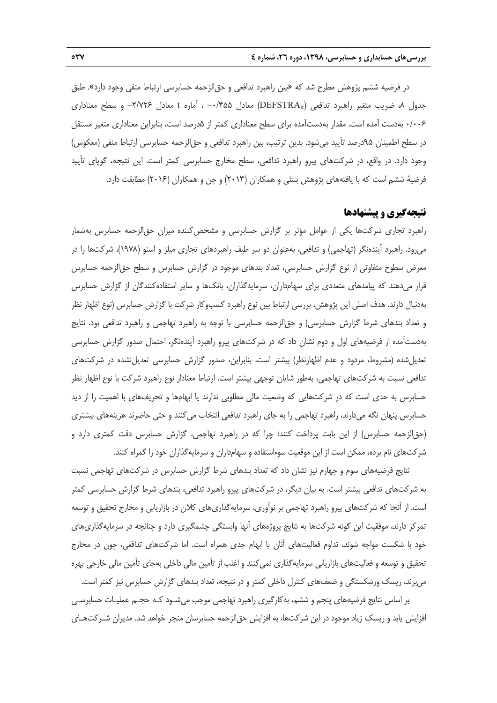در فرضيه ششم پژوهش مطرح شد كه «بين راهبرد تدافعي و حقالزحمه حسابرسي ارتباط منفي وجود دارد». طبق جدول ،8 ضريب متغير راهبرد تدافعي (DEFSTRAit (معادل -0/455 ، آماره t معادل -2/726 و سطح معناداري 0/006 بهدست آمده است. مقدار بهدستآمده براي سطح معناداري كمتر از 5درصد است، بنابراين معناداري متغير مستقل در سطح اطمينان 95درصد تأييد ميشود. بدين ترتيب، بين راهبرد تدافعي و حقالزحمه حسابرسي ارتباط منفي (معكوس) وجود دارد. در واقع، در شركتهاي پيرو راهبرد تدافعي، سطح مخارج حسابرسي كمتر است. اين نتيجه، گوياي تأييد فرضية ششم است كه با يافتههاي پژوهش بنتلي و همكاران (2013) و چن و همكاران (2016) مطابقت دارد.

#### **نتيجهگيري و پيشنهادها**

راهبرد تجاري شركتها يكي از عوامل مؤثر بر گزارش حسابرسي و مشخصكننده ميزان حقالزحمه حسابرس بهشمار ميرود. راهبرد آيندهنگر (تهاجمي) و تدافعي، بهعنوان دو سر طيف راهبردهاي تجاري ميلز و اسنو (1978)، شركتها را در معرض سطوح متفاوتي از نوع گزارش حسابرسي، تعداد بندهاي موجود در گزارش حسابرس و سطح حقالزحمه حسابرس قرار ميدهند كه پيامدهاي متعددي براي سهامداران، سرمايهگذاران، بانكها و ساير استفادهكنندگان از گزارش حسابرس بهدنبال دارند. هدف اصلي اين پژوهش، بررسي ارتباط بين نوع راهبرد كسبوكار شركت با گزارش حسابرس (نوع اظهار نظر و تعداد بندهاي شرط گزارش حسابرسي) و حقالزحمه حسابرسي با توجه به راهبرد تهاجمي و راهبرد تدافعي بود. نتايج بهدستآمده از فرضيههاي اول و دوم نشان داد كه در شركتهاي پيرو راهبرد آيندهنگر، احتمال صدور گزارش حسابرسي تعديلشده (مشروط، مردود و عدم اظهارنظر) بيشتر است. بنابراين، صدور گزارش حسابرسي تعديلنشده در شركتهاي تدافعي نسبت به شركتهاي تهاجمي، بهطور شايان توجهي بيشتر است. ارتباط معنادار نوع راهبرد شركت با نوع اظهار نظر حسابرس به حدي است كه در شركتهايي كه وضعيت مالي مطلوبي ندارند يا ابهامها و تحريفهاي با اهميت را از ديد حسابرس پنهان نگه ميدارند، راهبرد تهاجمي را به جاي راهبرد تدافعي انتخاب ميكنند و حتي حاضرند هزينههاي بيشتري (حقالزحمه حسابرس) از اين بابت پرداخت كنند؛ چرا كه در راهبرد تهاجمي، گزارش حسابرس دقت كمتري دارد و شركتهاي نام برده، ممكن است از اين موقعيت سوءاستفاده و سهامداران و سرمايهگذاران خود را گمراه كنند.

نتايج فرضيههاي سوم و چهارم نيز نشان داد كه تعداد بندهاي شرط گزارش حسابرس در شركتهاي تهاجمي نسبت به شركتهاي تدافعي بيشتر است. به بيان ديگر، در شركتهاي پيرو راهبرد تدافعي، بندهاي شرط گزارش حسابرسي كمتر است. از آنجا كه شركتهاي پيرو راهبرد تهاجمي بر نوآوري، سرمايهگذاريهاي كلان در بازاريابي و مخارج تحقيق و توسعه تمركز دارند، موفقيت اين گونه شركتها به نتايج پروژههاي آنها وابستگي چشمگيري دارد و چنانچه در سرمايهگذاريهاي خود با شكست مواجه شوند، تداوم فعاليتهاي آنان با ابهام جدي همراه است. اما شركتهاي تدافعي، چون در مخارج تحقيق و توسعه و فعاليتهاي بازاريابي سرمايهگذاري نميكنند و اغلب از تأمين مالي داخلي بهجاي تأمين مالي خارجي بهره ميبرند، ريسك ورشكستگي و ضعفهاي كنترل داخلي كمتر و در نتيجه، تعداد بندهاي گزارش حسابرس نيز كمتر است.

بر اساس نتايج فرضيههاي پنجم و ششم، بهكارگيري راهبرد تهاجمي موجب ميشـود كـه حجـم عمليـات حسابرسـي افزايش يابد و ريسك زياد موجود در اين شركتها، به افزايش حقالزحمه حسابرسان منجر خواهد شد. مديران شـركتهـاي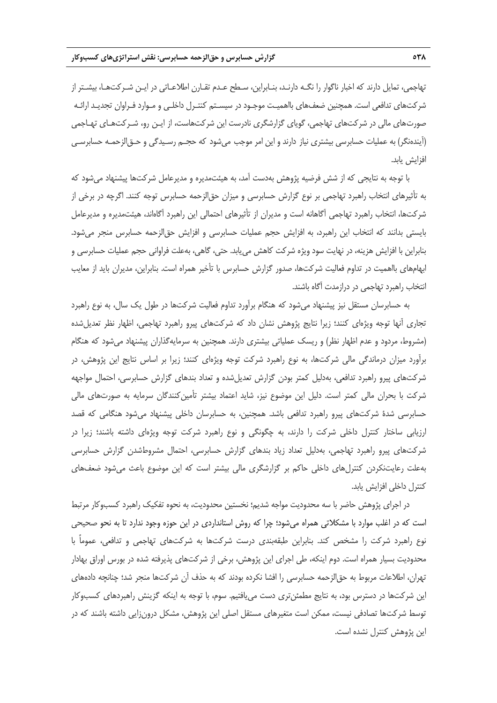تهاجمي، تمايل دارند كه اخبار ناگوار را نگـه دارنـد، بنـابراين، سـطح عـدم تقـارن اطلاعـاتي در ايـن شـركتهـا، بيشـتر از شركتهاي تدافعي است. همچنين ضعفهاي بااهميـت موجـود در سيسـتم كنتـرل داخلـي و مـوارد فـراوان تجديـد ارائـه صورتهاي مالي در شركتهاي تهاجمي، گوياي گزارشگري نادرست اين شركتهاست، از ايـن رو، شـركتهـاي تهـاجمي (آيندهنگر) به عمليات حسابرسي بيشتري نياز دارند و اين امر موجب ميشود كه حجـم رسـيدگي و حـقالزحمـه حسابرسـي افزايش يابد.

با توجه به نتايجي كه از شش فرضيه پژوهش بهدست آمد، به هيئتمديره و مديرعامل شركتها پيشنهاد ميشود كه به تأثيرهاي انتخاب راهبرد تهاجمي بر نوع گزارش حسابرسي و ميزان حقالزحمه حسابرس توجه كنند. اگرچه در برخي از شركتها، انتخاب راهبرد تهاجمي آگاهانه است و مديران از تأثيرهاي احتمالي اين راهبرد آگاهاند، هيئتمديره و مديرعامل بايستي بدانند كه انتخاب اين راهبرد، به افزايش حجم عمليات حسابرسي و افزايش حقالزحمه حسابرس منجر ميشود. بنابراين با افزايش هزينه، در نهايت سود ويژه شركت كاهش مييابد. حتي، گاهي، بهعلت فراواني حجم عمليات حسابرسي و ابهامهاي بااهميت در تداوم فعاليت شركتها، صدور گزارش حسابرس با تأخير همراه است. بنابراين، مديران بايد از معايب انتخاب راهبرد تهاجمي در درازمدت آگاه باشند.

به حسابرسان مستقل نيز پيشنهاد ميشود كه هنگام برآورد تداوم فعاليت شركتها در طول يك سال، به نوع راهبرد تجاري آنها توجه ويژهاي كنند؛ زيرا نتايج پژوهش نشان داد كه شركتهاي پيرو راهبرد تهاجمي، اظهار نظر تعديلشده (مشروط، مردود و عدم اظهار نظر) و ريسك عملياتي بيشتري دارند. همچنين به سرمايهگذاران پيشنهاد ميشود كه هنگام برآورد ميزان درماندگي مالي شركتها، به نوع راهبرد شركت توجه ويژهاي كنند؛ زيرا بر اساس نتايج اين پژوهش، در شركتهاي پيرو راهبرد تدافعي، بهدليل كمتر بودن گزارش تعديلشده و تعداد بندهاي گزارش حسابرسي، احتمال مواجهه شركت با بحران مالي كمتر است. دليل اين موضوع نيز، شايد اعتماد بيشتر تأمينكنندگان سرمايه به صورتهاي مالي حسابرسي شدة شركتهاي پيرو راهبرد تدافعي باشد. همچنين، به حسابرسان داخلي پيشنهاد ميشود هنگامي كه قصد ارزيابي ساختار كنترل داخلي شركت را دارند، به چگونگي و نوع راهبرد شركت توجه ويژهاي داشته باشند؛ زيرا در شركتهاي پيرو راهبرد تهاجمي، بهدليل تعداد زياد بندهاي گزارش حسابرسي، احتمال مشروطشدن گزارش حسابرسي بهعلت رعايتنكردن كنترلهاي داخلي حاكم بر گزارشگري مالي بيشتر است كه اين موضوع باعث ميشود ضعفهاي كنترل داخلي افزايش يابد.

در اجراي پژوهش حاضر با سه محدوديت مواجه شديم؛ نخستين محدوديت، به نحوه تفكيك راهبرد كسبوكار مرتبط است كه در اغلب موارد با مشكلاتي همراه ميشود؛ چرا كه روش استانداردي در اين حوزه وجود ندارد تا به نحو صحيحي نوع راهبرد شركت را مشخص كند. بنابراين طبقهبندي درست شركتها به شركتهاي تهاجمي و تدافعي، عموماً با محدوديت بسيار همراه است. دوم اينكه، طي اجراي اين پژوهش، برخي از شركتهاي پذيرفته شده در بورس اوراق بهادار تهران، اطلاعات مربوط به حقالزحمه حسابرسي را افشا نكرده بودند كه به حذف آن شركتها منجر شد؛ چنانچه دادههاي اين شركتها در دسترس بود، به نتايج مطمئنتري دست مييافتيم. سوم، با توجه به اينكه گزينش راهبردهاي كسبوكار توسط شركتها تصادفي نيست، ممكن است متغيرهاي مستقل اصلي اين پژوهش، مشكل درونزايي داشته باشند كه در اين پژوهش كنترل نشده است.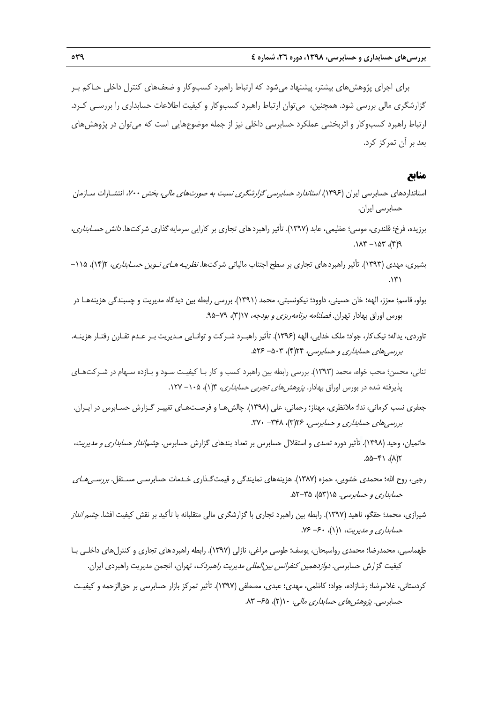براي اجراي پژوهشهاي بيشتر، پيشنهاد ميشود كه ارتباط راهبرد كسبوكار و ضعفهاي كنترل داخلي حـاكم بـر گزارشگري مالي بررسي شود. همچنين، ميتوان ارتباط راهبرد كسبوكار و كيفيت اطلاعات حسابداري را بررسـي كـرد. ارتباط راهبرد كسبوكار و اثربخشي عملكرد حسابرسي داخلي نيز از جمله موضوعهايي است كه ميتوان در پژوهشهاي بعد بر آن تمركز كرد.

## **منابع**

- استانداردهاي حسابرسي ايران (1396). استاندارد حسابرسي گزارشگري نسبت به صورتهاي مالي، بخش ،<sup>700</sup> انتشـارات سـازمان حسابرسي ايران.
- برزيده، فرخ؛ قلندري، موسي؛ عظيمي، عابد (1397). تأثير راهبردهاي تجاري بر كارايي سرمايهگذاري شركتها. دانش حسـابداري،  $P(7)$ , 70 $($ - 71 $($ .
- بشيري، مهدي (١٣٩٣). تأثير راهبردهاي تجاري بر سطح اجتناب مالياتي شركتها. *نظريـه هـاي نـوين حسـابداري*، ١/٩٢)، ١١٥- $\mathcal{N}^{\mathcal{N}}$
- بولو، قاسم؛ معزز، الهه؛ خان حسيني، داوود؛ نيكونسبتي، محمد (1391). بررسي رابطه بين ديدگاه مديريت و چسبندگي هزينههـا در بورس اوراق بهادار تهران. *فصلنامه برنامهريزي و بودجه، ١*١٧(٣)، ٧٩-٩۵.
- تاوردي، يداله؛ نيككار، جواد؛ ملك خدايي، الهه (1396). تأثير راهبـرد شـركت و توانـايي مـديريت بـر عـدم تقـارن رفتـار هزينـه. بررسي هاي حسابداري و حسابرسي، ١٣(۴)، ٥٠٣- ٥٢۶.
- تناني، محسن؛ محب خواه، محمد (1393). بررسي رابطه بين راهبرد كسب و كار بـا كيفيـت سـود و بـازده سـهام در شـركتهـاي پذيرفته شده در بورس اوراق بهادار. *پژوهش هاي تجربي حسابداري،* ۱۴(۱)، ۲۰۵- ۱۲۷.
- جعفري نسب كرماني، ندا؛ ملانظري، مهناز؛ رحماني، علي (1398). چالشهـا و فرصـتهـاي تغييـر گـزارش حسـابرس در ايـران. بررسي هاي حسابداري و حسابرسي، ٦٢۶ - ٣٢٠ - ٣٢٠.
- حاتميان، وحيد (1398). تأثير دوره تصدي و استقلال حسابرس بر تعداد بندهاي گزارش حسابرس. چشمانداز حسابداري <sup>و</sup> مديريت،  $\Lambda(\lambda)$ ,  $\Lambda^2-\Delta\Delta$ .
- رجبي، روح الله؛ محمدي خشويي، حمزه (١٣٨٧). هزينههاي نمايندگي و قيمتگـذاري خـدمات حسابرسـي مسـتقل. *بررسـي هـاي* حس*ابداري و حسابرسي. ۱۵*۳(۵۳)، ۲۵–۵۲.
- شيرازي، محمد؛ حقگو، ناهيد (1397). رابطه بين راهبرد تجاري با گزارشگري مالي متقلبانه با تأكيد بر نقش كيفيت افشا. چشم انداز حسابداري و مديريت، ١(١)، ۶۰- ٧۶.
- طهماسبي، محمدرضا؛ محمدي رواسبحان، يوسف؛ طوسي مراغي، نازلي (1397). رابطه راهبردهاي تجاري و كنترلهاي داخلـي بـا كيفيت گزارش حسابرسي. *دوازدهمين كنفرانس بين المللي مديريت راهبردك*، تهران، انجمن مديريت راهبردي ايران.
- كردستاني، غلامرضا؛ رضازاده، جواد؛ كاظمي، مهدي؛ عبدي، مصطفي (1397). تأثير تمركز بازار حسابرسي بر حقالزحمه و كيفيـت حسابرسي. *پژوهش هاي حسابداري مالي،* ۱۰(۲)، ۶۵- ۸۳.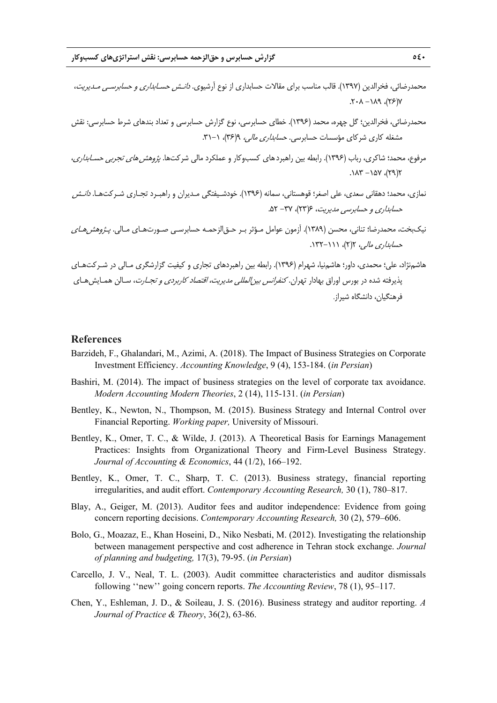- محمدرضائي، فخرالدين (1397). قالب مناسب براي مقالات حسابداري از نوع آرشيوي. دانـش حسـابداري <sup>و</sup> حسابرسـي مـديريت،  $Y(37)$ ,  $P\Lambda$  $- \Lambda$  $+ 7$ .
- محمدرضائي، فخرالدين؛ گل چهره، محمد (1396). خطاي حسابرسي، نوع گزارش حسابرسي و تعداد بندهاي شرط حسابرسي: نقش مشغله كاري شركاي مؤسسات حسابرسي. *حسابداري مالي، ٩(٣۶)، ١-٣١.*
- مرفوع، محمد؛ شاكري، رباب (١٣٩۶). رابطه بين راهبردهاي كسبوكار و عملكرد مالي شركتها. *پژوهش هاي تجربي حسـابداري*،  $.118 - 707.7$
- نمازي، محمد؛ دهقاني سعدي، علي اصغر؛ قوهستاني، سمانه (1396). خودشـيفتگي مـديران و راهبـرد تجـاري شـركتهـا. دانـش حسابداري و حسابرسي مديريت، ۶(۲۳)، ۳۷- ۵۲.
- نيكبخت، محمدرضا؛ تناني، محسن (١٣٨٩). آزمون عوامل مـؤثر بـر حـق|لزحمـه حسابرسـي صـورتهـاي مـالي. *پـژوهشهـاي* حسابداري مالي، 2(2)، .132-111
- هاشمنژاد، علي؛ محمدي، داور؛ هاشمنيا، شهرام (1396). رابطه بين راهبردهاي تجاري و كيفيت گزارشگري مـالي در شـركتهـاي پذيرفته شده در بورس اوراق بهادار تهران. *كنفرانس بين إلمللي مديريت، اقتصاد كاربردي و تجـارت*، سـالن همـايش *ه*ـاي فرهنگيان، دانشگاه شيراز.

#### **References**

- Barzideh, F., Ghalandari, M., Azimi, A. (2018). The Impact of Business Strategies on Corporate Investment Efficiency. *Accounting Knowledge*, 9 (4), 153-184. (*in Persian*)
- Bashiri, M. (2014). The impact of business strategies on the level of corporate tax avoidance. *Modern Accounting Modern Theories*, 2 (14), 115-131. (*in Persian*)
- Bentley, K., Newton, N., Thompson, M. (2015). Business Strategy and Internal Control over Financial Reporting. *Working paper,* University of Missouri.
- Bentley, K., Omer, T. C., & Wilde, J. (2013). A Theoretical Basis for Earnings Management Practices: Insights from Organizational Theory and Firm-Level Business Strategy. *Journal of Accounting & Economics*, 44 (1/2), 166–192.
- Bentley, K., Omer, T. C., Sharp, T. C. (2013). Business strategy, financial reporting irregularities, and audit effort. *Contemporary Accounting Research,* 30 (1), 780–817.
- Blay, A., Geiger, M. (2013). Auditor fees and auditor independence: Evidence from going concern reporting decisions. *Contemporary Accounting Research,* 30 (2), 579–606.
- Bolo, G., Moazaz, E., Khan Hoseini, D., Niko Nesbati, M. (2012). Investigating the relationship between management perspective and cost adherence in Tehran stock exchange. *Journal of planning and budgeting,* 17(3), 79-95. (*in Persian*)
- Carcello, J. V., Neal, T. L. (2003). Audit committee characteristics and auditor dismissals following ''new'' going concern reports. *The Accounting Review*, 78 (1), 95–117.
- Chen, Y., Eshleman, J. D., & Soileau, J. S. (2016). Business strategy and auditor reporting. *A Journal of Practice & Theory*, 36(2), 63-86.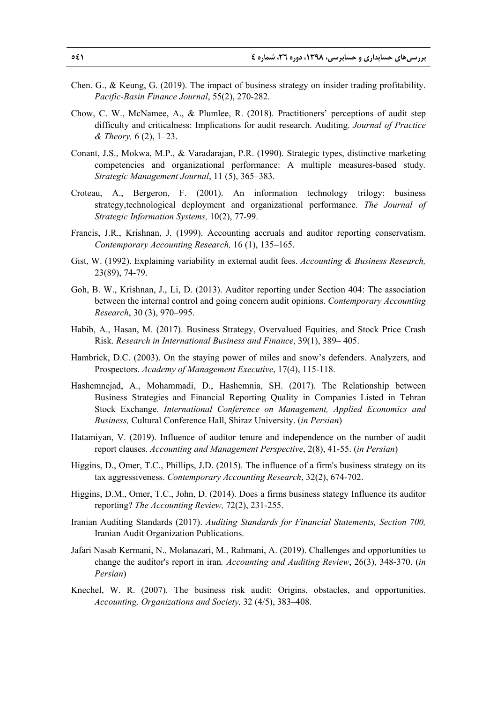- Chen. G., & Keung, G. (2019). The impact of business strategy on insider trading profitability. *Pacific-Basin Finance Journal*, 55(2), 270-282.
- Chow, C. W., McNamee, A., & Plumlee, R. (2018). Practitioners' perceptions of audit step difficulty and criticalness: Implications for audit research. Auditing. *Journal of Practice & Theory,* 6 (2), 1–23.
- Conant, J.S., Mokwa, M.P., & Varadarajan, P.R. (1990). Strategic types, distinctive marketing competencies and organizational performance: A multiple measures-based study*. Strategic Management Journal*, 11 (5), 365–383.
- Croteau, A., Bergeron, F. (2001). An information technology trilogy: business strategy,technological deployment and organizational performance. *The Journal of Strategic Information Systems,* 10(2), 77-99.
- Francis, J.R., Krishnan, J. (1999). Accounting accruals and auditor reporting conservatism. *Contemporary Accounting Research,* 16 (1), 135–165.
- Gist, W. (1992). Explaining variability in external audit fees. *Accounting & Business Research,*  23(89), 74-79.
- Goh, B. W., Krishnan, J., Li, D. (2013). Auditor reporting under Section 404: The association between the internal control and going concern audit opinions. *Contemporary Accounting Research*, 30 (3), 970–995.
- Habib, A., Hasan, M. (2017). Business Strategy, Overvalued Equities, and Stock Price Crash Risk. *Research in International Business and Finance*, 39(1), 389– 405.
- Hambrick, D.C. (2003). On the staying power of miles and snow's defenders. Analyzers, and Prospectors. *Academy of Management Executive*, 17(4), 115-118.
- Hashemnejad, A., Mohammadi, D., Hashemnia, SH. (2017). The Relationship between Business Strategies and Financial Reporting Quality in Companies Listed in Tehran Stock Exchange. *International Conference on Management, Applied Economics and Business,* Cultural Conference Hall, Shiraz University. (*in Persian*)
- Hatamiyan, V. (2019). Influence of auditor tenure and independence on the number of audit report clauses. *Accounting and Management Perspective*, 2(8), 41-55. (*in Persian*)
- Higgins, D., Omer, T.C., Phillips, J.D. (2015). The influence of a firm's business strategy on its tax aggressiveness. *Contemporary Accounting Research*, 32(2), 674-702.
- Higgins, D.M., Omer, T.C., John, D. (2014). Does a firms business stategy Influence its auditor reporting? *The Accounting Review,* 72(2), 231-255.
- Iranian Auditing Standards (2017). *Auditing Standards for Financial Statements, Section 700,*  Iranian Audit Organization Publications.
- Jafari Nasab Kermani, N., Molanazari, M., Rahmani, A. (2019). Challenges and opportunities to change the auditor's report in iran*. Accounting and Auditing Review*, 26(3), 348-370. (*in Persian*)
- Knechel, W. R. (2007). The business risk audit: Origins, obstacles, and opportunities. *Accounting, Organizations and Society,* 32 (4/5), 383–408.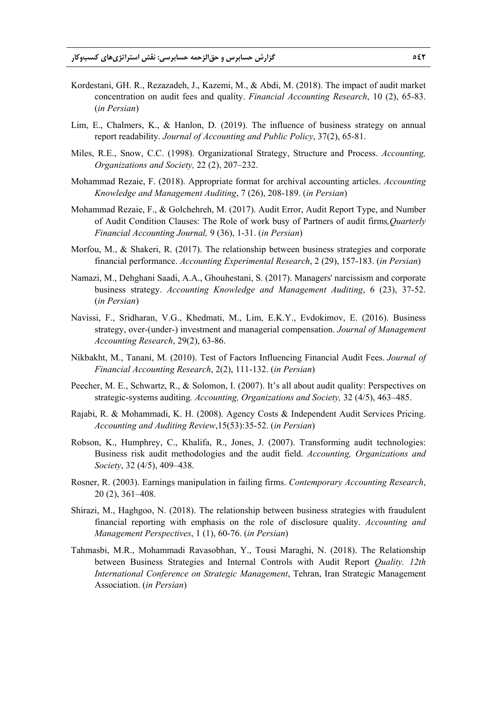- Kordestani, GH. R., Rezazadeh, J., Kazemi, M., & Abdi, M. (2018). The impact of audit market concentration on audit fees and quality. *Financial Accounting Research*, 10 (2), 65-83. (*in Persian*)
- Lim, E., Chalmers, K., & Hanlon, D. (2019). The influence of business strategy on annual report readability. *Journal of Accounting and Public Policy*, 37(2), 65-81.
- Miles, R.E., Snow, C.C. (1998). Organizational Strategy, Structure and Process. *Accounting, Organizations and Society,* 22 (2), 207–232.
- Mohammad Rezaie, F. (2018). Appropriate format for archival accounting articles. *Accounting Knowledge and Management Auditing*, 7 (26), 208-189. (*in Persian*)
- Mohammad Rezaie, F., & Golchehreh, M. (2017). Audit Error, Audit Report Type, and Number of Audit Condition Clauses: The Role of work busy of Partners of audit firms*,Quarterly Financial Accounting Journal,* 9 (36), 1-31. (*in Persian*)
- Morfou, M., & Shakeri, R. (2017). The relationship between business strategies and corporate financial performance. *Accounting Experimental Research*, 2 (29), 157-183. (*in Persian*)
- Namazi, M., Dehghani Saadi, A.A., Ghouhestani, S. (2017). Managers' narcissism and corporate business strategy. *Accounting Knowledge and Management Auditing*, 6 (23), 37-52. (*in Persian*)
- Navissi, F., Sridharan, V.G., Khedmati, M., Lim, E.K.Y., Evdokimov, E. (2016). Business strategy, over-(under-) investment and managerial compensation. *Journal of Management Accounting Research*, 29(2), 63-86.
- Nikbakht, M., Tanani, M. (2010). Test of Factors Influencing Financial Audit Fees. *Journal of Financial Accounting Research*, 2(2), 111-132. (*in Persian*)
- Peecher, M. E., Schwartz, R., & Solomon, I. (2007). It's all about audit quality: Perspectives on strategic-systems auditing*. Accounting, Organizations and Society,* 32 (4/5), 463–485.
- Rajabi, R. & Mohammadi, K. H. (2008). Agency Costs & Independent Audit Services Pricing. *Accounting and Auditing Review*,15(53):35-52. (*in Persian*)
- Robson, K., Humphrey, C., Khalifa, R., Jones, J. (2007). Transforming audit technologies: Business risk audit methodologies and the audit field. *Accounting, Organizations and Society*, 32 (4/5), 409–438.
- Rosner, R. (2003). Earnings manipulation in failing firms. *Contemporary Accounting Research*, 20 (2), 361–408.
- Shirazi, M., Haghgoo, N. (2018). The relationship between business strategies with fraudulent financial reporting with emphasis on the role of disclosure quality. *Accounting and Management Perspectives*, 1 (1), 60-76. (*in Persian*)
- Tahmasbi, M.R., Mohammadi Ravasobhan, Y., Tousi Maraghi, N. (2018). The Relationship between Business Strategies and Internal Controls with Audit Report *Quality. 12th International Conference on Strategic Management*, Tehran, Iran Strategic Management Association. (*in Persian*)